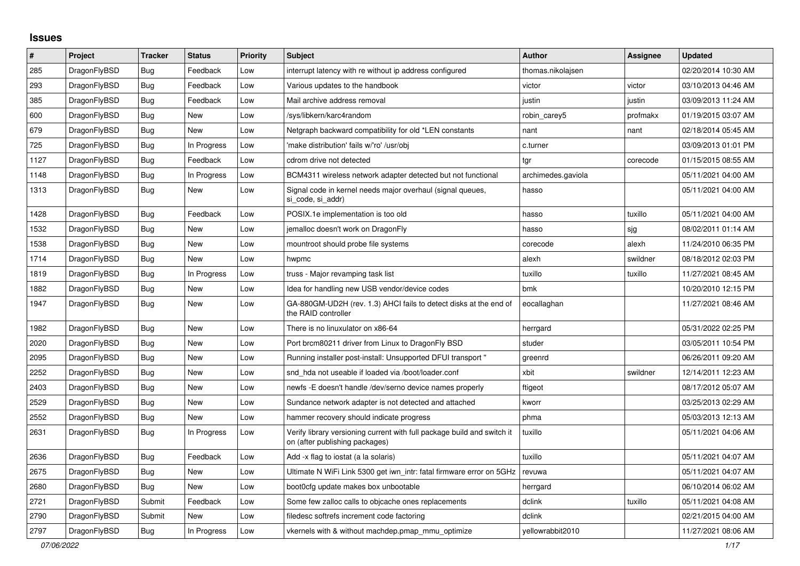## **Issues**

| $\vert$ # | Project      | Tracker    | <b>Status</b> | <b>Priority</b> | <b>Subject</b>                                                                                            | <b>Author</b>      | Assignee | <b>Updated</b>      |
|-----------|--------------|------------|---------------|-----------------|-----------------------------------------------------------------------------------------------------------|--------------------|----------|---------------------|
| 285       | DragonFlyBSD | Bug        | Feedback      | Low             | interrupt latency with re without ip address configured                                                   | thomas.nikolajsen  |          | 02/20/2014 10:30 AM |
| 293       | DragonFlyBSD | <b>Bug</b> | Feedback      | Low             | Various updates to the handbook                                                                           | victor             | victor   | 03/10/2013 04:46 AM |
| 385       | DragonFlyBSD | Bug        | Feedback      | Low             | Mail archive address removal                                                                              | justin             | justin   | 03/09/2013 11:24 AM |
| 600       | DragonFlyBSD | Bug        | <b>New</b>    | Low             | /sys/libkern/karc4random                                                                                  | robin carey5       | profmakx | 01/19/2015 03:07 AM |
| 679       | DragonFlyBSD | <b>Bug</b> | <b>New</b>    | Low             | Netgraph backward compatibility for old *LEN constants                                                    | nant               | nant     | 02/18/2014 05:45 AM |
| 725       | DragonFlyBSD | Bug        | In Progress   | Low             | 'make distribution' fails w/'ro' /usr/obj                                                                 | c.turner           |          | 03/09/2013 01:01 PM |
| 1127      | DragonFlyBSD | Bug        | Feedback      | Low             | cdrom drive not detected                                                                                  | tgr                | corecode | 01/15/2015 08:55 AM |
| 1148      | DragonFlyBSD | <b>Bug</b> | In Progress   | Low             | BCM4311 wireless network adapter detected but not functional                                              | archimedes.gaviola |          | 05/11/2021 04:00 AM |
| 1313      | DragonFlyBSD | Bug        | New           | Low             | Signal code in kernel needs major overhaul (signal queues,<br>si_code, si_addr)                           | hasso              |          | 05/11/2021 04:00 AM |
| 1428      | DragonFlyBSD | <b>Bug</b> | Feedback      | Low             | POSIX.1e implementation is too old                                                                        | hasso              | tuxillo  | 05/11/2021 04:00 AM |
| 1532      | DragonFlyBSD | Bug        | <b>New</b>    | Low             | jemalloc doesn't work on DragonFly                                                                        | hasso              | sjg      | 08/02/2011 01:14 AM |
| 1538      | DragonFlyBSD | <b>Bug</b> | New           | Low             | mountroot should probe file systems                                                                       | corecode           | alexh    | 11/24/2010 06:35 PM |
| 1714      | DragonFlyBSD | <b>Bug</b> | New           | Low             | hwpmc                                                                                                     | alexh              | swildner | 08/18/2012 02:03 PM |
| 1819      | DragonFlyBSD | <b>Bug</b> | In Progress   | Low             | truss - Major revamping task list                                                                         | tuxillo            | tuxillo  | 11/27/2021 08:45 AM |
| 1882      | DragonFlyBSD | <b>Bug</b> | New           | Low             | Idea for handling new USB vendor/device codes                                                             | bmk                |          | 10/20/2010 12:15 PM |
| 1947      | DragonFlyBSD | Bug        | <b>New</b>    | Low             | GA-880GM-UD2H (rev. 1.3) AHCI fails to detect disks at the end of<br>the RAID controller                  | eocallaghan        |          | 11/27/2021 08:46 AM |
| 1982      | DragonFlyBSD | Bug        | New           | Low             | There is no linuxulator on x86-64                                                                         | herrgard           |          | 05/31/2022 02:25 PM |
| 2020      | DragonFlyBSD | Bug        | <b>New</b>    | Low             | Port brcm80211 driver from Linux to DragonFly BSD                                                         | studer             |          | 03/05/2011 10:54 PM |
| 2095      | DragonFlyBSD | <b>Bug</b> | New           | Low             | Running installer post-install: Unsupported DFUI transport "                                              | greenrd            |          | 06/26/2011 09:20 AM |
| 2252      | DragonFlyBSD | Bug        | New           | Low             | snd hda not useable if loaded via /boot/loader.conf                                                       | xbit               | swildner | 12/14/2011 12:23 AM |
| 2403      | DragonFlyBSD | <b>Bug</b> | <b>New</b>    | Low             | newfs - E doesn't handle /dev/serno device names properly                                                 | ftigeot            |          | 08/17/2012 05:07 AM |
| 2529      | DragonFlyBSD | Bug        | <b>New</b>    | Low             | Sundance network adapter is not detected and attached                                                     | kworr              |          | 03/25/2013 02:29 AM |
| 2552      | DragonFlyBSD | Bug        | New           | Low             | hammer recovery should indicate progress                                                                  | phma               |          | 05/03/2013 12:13 AM |
| 2631      | DragonFlyBSD | <b>Bug</b> | In Progress   | Low             | Verify library versioning current with full package build and switch it<br>on (after publishing packages) | tuxillo            |          | 05/11/2021 04:06 AM |
| 2636      | DragonFlyBSD | <b>Bug</b> | Feedback      | Low             | Add -x flag to iostat (a la solaris)                                                                      | tuxillo            |          | 05/11/2021 04:07 AM |
| 2675      | DragonFlyBSD | <b>Bug</b> | New           | Low             | Ultimate N WiFi Link 5300 get iwn intr: fatal firmware error on 5GHz                                      | revuwa             |          | 05/11/2021 04:07 AM |
| 2680      | DragonFlyBSD | Bug        | New           | Low             | boot0cfg update makes box unbootable                                                                      | herrgard           |          | 06/10/2014 06:02 AM |
| 2721      | DragonFlyBSD | Submit     | Feedback      | Low             | Some few zalloc calls to objcache ones replacements                                                       | dclink             | tuxillo  | 05/11/2021 04:08 AM |
| 2790      | DragonFlyBSD | Submit     | <b>New</b>    | Low             | filedesc softrefs increment code factoring                                                                | dclink             |          | 02/21/2015 04:00 AM |
| 2797      | DragonFlyBSD | Bug        | In Progress   | Low             | vkernels with & without machdep.pmap mmu optimize                                                         | yellowrabbit2010   |          | 11/27/2021 08:06 AM |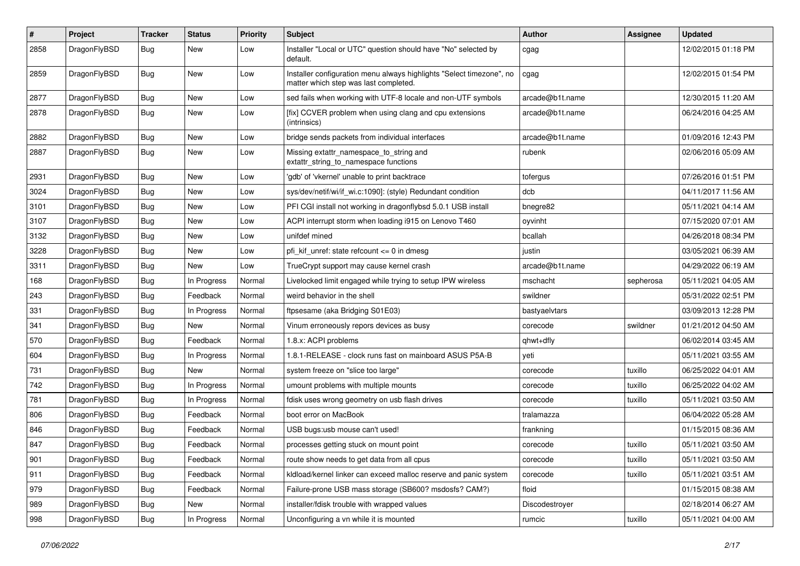| #    | Project      | <b>Tracker</b> | <b>Status</b> | <b>Priority</b> | Subject                                                                                                       | <b>Author</b>   | <b>Assignee</b> | <b>Updated</b>      |
|------|--------------|----------------|---------------|-----------------|---------------------------------------------------------------------------------------------------------------|-----------------|-----------------|---------------------|
| 2858 | DragonFlyBSD | <b>Bug</b>     | New           | Low             | Installer "Local or UTC" question should have "No" selected by<br>default.                                    | cgag            |                 | 12/02/2015 01:18 PM |
| 2859 | DragonFlyBSD | Bug            | New           | Low             | Installer configuration menu always highlights "Select timezone", no<br>matter which step was last completed. | cgag            |                 | 12/02/2015 01:54 PM |
| 2877 | DragonFlyBSD | Bug            | <b>New</b>    | Low             | sed fails when working with UTF-8 locale and non-UTF symbols                                                  | arcade@b1t.name |                 | 12/30/2015 11:20 AM |
| 2878 | DragonFlyBSD | <b>Bug</b>     | New           | Low             | [fix] CCVER problem when using clang and cpu extensions<br>(intrinsics)                                       | arcade@b1t.name |                 | 06/24/2016 04:25 AM |
| 2882 | DragonFlyBSD | Bug            | New           | Low             | bridge sends packets from individual interfaces                                                               | arcade@b1t.name |                 | 01/09/2016 12:43 PM |
| 2887 | DragonFlyBSD | <b>Bug</b>     | <b>New</b>    | Low             | Missing extattr_namespace_to_string and<br>extattr_string_to_namespace functions                              | rubenk          |                 | 02/06/2016 05:09 AM |
| 2931 | DragonFlyBSD | <b>Bug</b>     | New           | Low             | 'gdb' of 'vkernel' unable to print backtrace                                                                  | tofergus        |                 | 07/26/2016 01:51 PM |
| 3024 | DragonFlyBSD | <b>Bug</b>     | New           | Low             | sys/dev/netif/wi/if_wi.c:1090]: (style) Redundant condition                                                   | dcb             |                 | 04/11/2017 11:56 AM |
| 3101 | DragonFlyBSD | Bug            | New           | Low             | PFI CGI install not working in dragonflybsd 5.0.1 USB install                                                 | bnegre82        |                 | 05/11/2021 04:14 AM |
| 3107 | DragonFlyBSD | <b>Bug</b>     | New           | Low             | ACPI interrupt storm when loading i915 on Lenovo T460                                                         | oyvinht         |                 | 07/15/2020 07:01 AM |
| 3132 | DragonFlyBSD | <b>Bug</b>     | New           | Low             | unifdef mined                                                                                                 | bcallah         |                 | 04/26/2018 08:34 PM |
| 3228 | DragonFlyBSD | Bug            | <b>New</b>    | Low             | pfi kif unref: state refcount $\leq$ 0 in dmesg                                                               | justin          |                 | 03/05/2021 06:39 AM |
| 3311 | DragonFlyBSD | Bug            | New           | Low             | TrueCrypt support may cause kernel crash                                                                      | arcade@b1t.name |                 | 04/29/2022 06:19 AM |
| 168  | DragonFlyBSD | Bug            | In Progress   | Normal          | Livelocked limit engaged while trying to setup IPW wireless                                                   | mschacht        | sepherosa       | 05/11/2021 04:05 AM |
| 243  | DragonFlyBSD | <b>Bug</b>     | Feedback      | Normal          | weird behavior in the shell                                                                                   | swildner        |                 | 05/31/2022 02:51 PM |
| 331  | DragonFlyBSD | Bug            | In Progress   | Normal          | ftpsesame (aka Bridging S01E03)                                                                               | bastyaelvtars   |                 | 03/09/2013 12:28 PM |
| 341  | DragonFlyBSD | <b>Bug</b>     | New           | Normal          | Vinum erroneously repors devices as busy                                                                      | corecode        | swildner        | 01/21/2012 04:50 AM |
| 570  | DragonFlyBSD | Bug            | Feedback      | Normal          | 1.8.x: ACPI problems                                                                                          | qhwt+dfly       |                 | 06/02/2014 03:45 AM |
| 604  | DragonFlyBSD | Bug            | In Progress   | Normal          | 1.8.1-RELEASE - clock runs fast on mainboard ASUS P5A-B                                                       | yeti            |                 | 05/11/2021 03:55 AM |
| 731  | DragonFlyBSD | <b>Bug</b>     | New           | Normal          | system freeze on "slice too large"                                                                            | corecode        | tuxillo         | 06/25/2022 04:01 AM |
| 742  | DragonFlyBSD | <b>Bug</b>     | In Progress   | Normal          | umount problems with multiple mounts                                                                          | corecode        | tuxillo         | 06/25/2022 04:02 AM |
| 781  | DragonFlyBSD | Bug            | In Progress   | Normal          | fdisk uses wrong geometry on usb flash drives                                                                 | corecode        | tuxillo         | 05/11/2021 03:50 AM |
| 806  | DragonFlyBSD | <b>Bug</b>     | Feedback      | Normal          | boot error on MacBook                                                                                         | tralamazza      |                 | 06/04/2022 05:28 AM |
| 846  | DragonFlyBSD | <b>Bug</b>     | Feedback      | Normal          | USB bugs:usb mouse can't used!                                                                                | frankning       |                 | 01/15/2015 08:36 AM |
| 847  | DragonFlyBSD | <b>Bug</b>     | Feedback      | Normal          | processes getting stuck on mount point                                                                        | corecode        | tuxillo         | 05/11/2021 03:50 AM |
| 901  | DragonFlyBSD | <b>Bug</b>     | Feedback      | Normal          | route show needs to get data from all cpus                                                                    | corecode        | tuxillo         | 05/11/2021 03:50 AM |
| 911  | DragonFlyBSD | <b>Bug</b>     | Feedback      | Normal          | kldload/kernel linker can exceed malloc reserve and panic system                                              | corecode        | tuxillo         | 05/11/2021 03:51 AM |
| 979  | DragonFlyBSD | <b>Bug</b>     | Feedback      | Normal          | Failure-prone USB mass storage (SB600? msdosfs? CAM?)                                                         | floid           |                 | 01/15/2015 08:38 AM |
| 989  | DragonFlyBSD | <b>Bug</b>     | New           | Normal          | installer/fdisk trouble with wrapped values                                                                   | Discodestroyer  |                 | 02/18/2014 06:27 AM |
| 998  | DragonFlyBSD | <b>Bug</b>     | In Progress   | Normal          | Unconfiguring a vn while it is mounted                                                                        | rumcic          | tuxillo         | 05/11/2021 04:00 AM |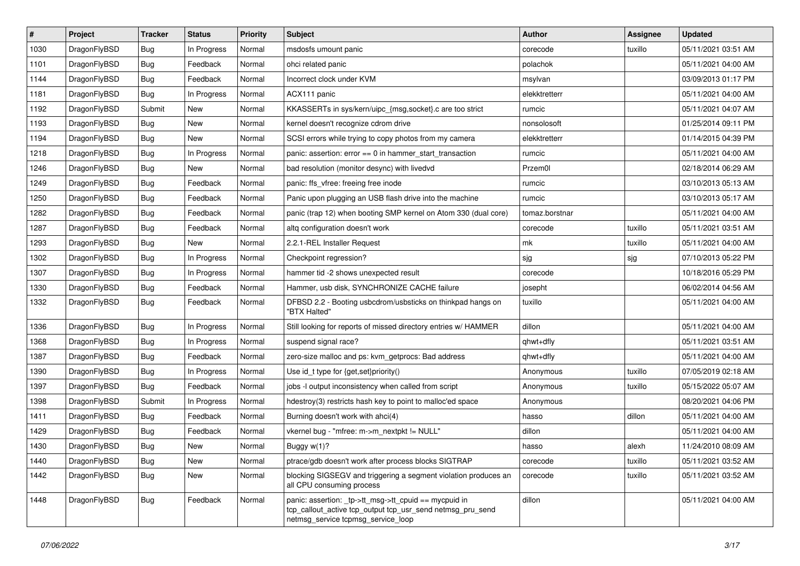| $\vert$ # | Project      | <b>Tracker</b> | <b>Status</b> | <b>Priority</b> | Subject                                                                                                                                                   | <b>Author</b>  | <b>Assignee</b> | <b>Updated</b>      |
|-----------|--------------|----------------|---------------|-----------------|-----------------------------------------------------------------------------------------------------------------------------------------------------------|----------------|-----------------|---------------------|
| 1030      | DragonFlyBSD | <b>Bug</b>     | In Progress   | Normal          | msdosfs umount panic                                                                                                                                      | corecode       | tuxillo         | 05/11/2021 03:51 AM |
| 1101      | DragonFlyBSD | <b>Bug</b>     | Feedback      | Normal          | ohci related panic                                                                                                                                        | polachok       |                 | 05/11/2021 04:00 AM |
| 1144      | DragonFlyBSD | Bug            | Feedback      | Normal          | Incorrect clock under KVM                                                                                                                                 | msylvan        |                 | 03/09/2013 01:17 PM |
| 1181      | DragonFlyBSD | Bug            | In Progress   | Normal          | ACX111 panic                                                                                                                                              | elekktretterr  |                 | 05/11/2021 04:00 AM |
| 1192      | DragonFlyBSD | Submit         | New           | Normal          | KKASSERTs in sys/kern/uipc_{msg,socket}.c are too strict                                                                                                  | rumcic         |                 | 05/11/2021 04:07 AM |
| 1193      | DragonFlyBSD | <b>Bug</b>     | New           | Normal          | kernel doesn't recognize cdrom drive                                                                                                                      | nonsolosoft    |                 | 01/25/2014 09:11 PM |
| 1194      | DragonFlyBSD | <b>Bug</b>     | New           | Normal          | SCSI errors while trying to copy photos from my camera                                                                                                    | elekktretterr  |                 | 01/14/2015 04:39 PM |
| 1218      | DragonFlyBSD | <b>Bug</b>     | In Progress   | Normal          | panic: assertion: $error == 0$ in hammer start transaction                                                                                                | rumcic         |                 | 05/11/2021 04:00 AM |
| 1246      | DragonFlyBSD | <b>Bug</b>     | New           | Normal          | bad resolution (monitor desync) with livedvd                                                                                                              | Przem0l        |                 | 02/18/2014 06:29 AM |
| 1249      | DragonFlyBSD | <b>Bug</b>     | Feedback      | Normal          | panic: ffs vfree: freeing free inode                                                                                                                      | rumcic         |                 | 03/10/2013 05:13 AM |
| 1250      | DragonFlyBSD | <b>Bug</b>     | Feedback      | Normal          | Panic upon plugging an USB flash drive into the machine                                                                                                   | rumcic         |                 | 03/10/2013 05:17 AM |
| 1282      | DragonFlyBSD | Bug            | Feedback      | Normal          | panic (trap 12) when booting SMP kernel on Atom 330 (dual core)                                                                                           | tomaz.borstnar |                 | 05/11/2021 04:00 AM |
| 1287      | DragonFlyBSD | <b>Bug</b>     | Feedback      | Normal          | altg configuration doesn't work                                                                                                                           | corecode       | tuxillo         | 05/11/2021 03:51 AM |
| 1293      | DragonFlyBSD | <b>Bug</b>     | New           | Normal          | 2.2.1-REL Installer Request                                                                                                                               | mk             | tuxillo         | 05/11/2021 04:00 AM |
| 1302      | DragonFlyBSD | <b>Bug</b>     | In Progress   | Normal          | Checkpoint regression?                                                                                                                                    | sjg            | sjg             | 07/10/2013 05:22 PM |
| 1307      | DragonFlyBSD | <b>Bug</b>     | In Progress   | Normal          | hammer tid -2 shows unexpected result                                                                                                                     | corecode       |                 | 10/18/2016 05:29 PM |
| 1330      | DragonFlyBSD | <b>Bug</b>     | Feedback      | Normal          | Hammer, usb disk, SYNCHRONIZE CACHE failure                                                                                                               | josepht        |                 | 06/02/2014 04:56 AM |
| 1332      | DragonFlyBSD | Bug            | Feedback      | Normal          | DFBSD 2.2 - Booting usbcdrom/usbsticks on thinkpad hangs on<br>"BTX Halted"                                                                               | tuxillo        |                 | 05/11/2021 04:00 AM |
| 1336      | DragonFlyBSD | <b>Bug</b>     | In Progress   | Normal          | Still looking for reports of missed directory entries w/ HAMMER                                                                                           | dillon         |                 | 05/11/2021 04:00 AM |
| 1368      | DragonFlyBSD | <b>Bug</b>     | In Progress   | Normal          | suspend signal race?                                                                                                                                      | qhwt+dfly      |                 | 05/11/2021 03:51 AM |
| 1387      | DragonFlyBSD | <b>Bug</b>     | Feedback      | Normal          | zero-size malloc and ps: kvm_getprocs: Bad address                                                                                                        | qhwt+dfly      |                 | 05/11/2021 04:00 AM |
| 1390      | DragonFlyBSD | <b>Bug</b>     | In Progress   | Normal          | Use id_t type for {get,set}priority()                                                                                                                     | Anonymous      | tuxillo         | 07/05/2019 02:18 AM |
| 1397      | DragonFlyBSD | <b>Bug</b>     | Feedback      | Normal          | jobs -I output inconsistency when called from script                                                                                                      | Anonymous      | tuxillo         | 05/15/2022 05:07 AM |
| 1398      | DragonFlyBSD | Submit         | In Progress   | Normal          | hdestroy(3) restricts hash key to point to malloc'ed space                                                                                                | Anonymous      |                 | 08/20/2021 04:06 PM |
| 1411      | DragonFlyBSD | Bug            | Feedback      | Normal          | Burning doesn't work with ahci(4)                                                                                                                         | hasso          | dillon          | 05/11/2021 04:00 AM |
| 1429      | DragonFlyBSD | <b>Bug</b>     | Feedback      | Normal          | vkernel bug - "mfree: m->m_nextpkt != NULL"                                                                                                               | dillon         |                 | 05/11/2021 04:00 AM |
| 1430      | DragonFlyBSD | Bug            | New           | Normal          | Buggy w(1)?                                                                                                                                               | hasso          | alexh           | 11/24/2010 08:09 AM |
| 1440      | DragonFlyBSD | <b>Bug</b>     | New           | Normal          | ptrace/gdb doesn't work after process blocks SIGTRAP                                                                                                      | corecode       | tuxillo         | 05/11/2021 03:52 AM |
| 1442      | DragonFlyBSD | <b>Bug</b>     | New           | Normal          | blocking SIGSEGV and triggering a segment violation produces an<br>all CPU consuming process                                                              | corecode       | tuxillo         | 05/11/2021 03:52 AM |
| 1448      | DragonFlyBSD | <b>Bug</b>     | Feedback      | Normal          | panic: assertion: _tp->tt_msg->tt_cpuid == mycpuid in<br>tcp_callout_active tcp_output tcp_usr_send netmsg_pru_send<br>netmsg_service tcpmsg_service_loop | dillon         |                 | 05/11/2021 04:00 AM |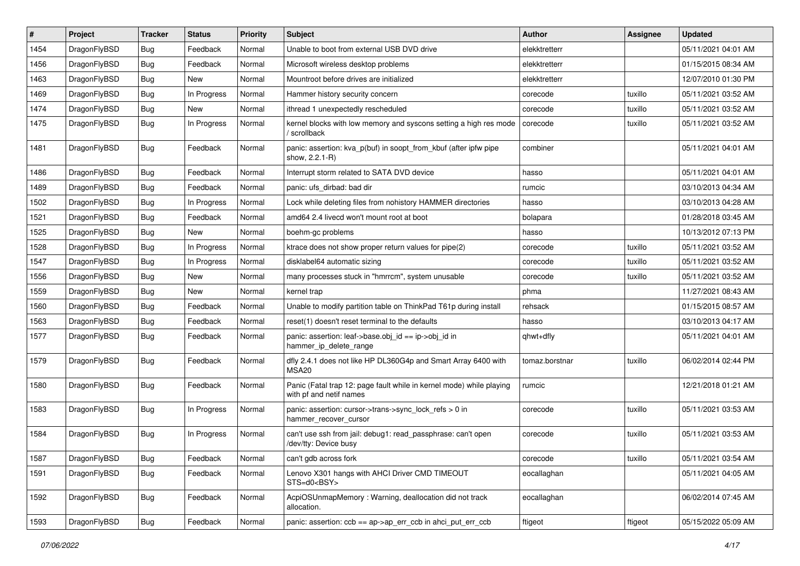| $\sharp$ | Project      | <b>Tracker</b> | <b>Status</b> | <b>Priority</b> | Subject                                                                                         | <b>Author</b>  | Assignee | <b>Updated</b>      |
|----------|--------------|----------------|---------------|-----------------|-------------------------------------------------------------------------------------------------|----------------|----------|---------------------|
| 1454     | DragonFlyBSD | <b>Bug</b>     | Feedback      | Normal          | Unable to boot from external USB DVD drive                                                      | elekktretterr  |          | 05/11/2021 04:01 AM |
| 1456     | DragonFlyBSD | <b>Bug</b>     | Feedback      | Normal          | Microsoft wireless desktop problems                                                             | elekktretterr  |          | 01/15/2015 08:34 AM |
| 1463     | DragonFlyBSD | <b>Bug</b>     | New           | Normal          | Mountroot before drives are initialized                                                         | elekktretterr  |          | 12/07/2010 01:30 PM |
| 1469     | DragonFlyBSD | <b>Bug</b>     | In Progress   | Normal          | Hammer history security concern                                                                 | corecode       | tuxillo  | 05/11/2021 03:52 AM |
| 1474     | DragonFlyBSD | <b>Bug</b>     | <b>New</b>    | Normal          | ithread 1 unexpectedly rescheduled                                                              | corecode       | tuxillo  | 05/11/2021 03:52 AM |
| 1475     | DragonFlyBSD | Bug            | In Progress   | Normal          | kernel blocks with low memory and syscons setting a high res mode<br>/ scrollback               | corecode       | tuxillo  | 05/11/2021 03:52 AM |
| 1481     | DragonFlyBSD | <b>Bug</b>     | Feedback      | Normal          | panic: assertion: kva_p(buf) in soopt_from_kbuf (after ipfw pipe<br>show, 2.2.1-R)              | combiner       |          | 05/11/2021 04:01 AM |
| 1486     | DragonFlyBSD | Bug            | Feedback      | Normal          | Interrupt storm related to SATA DVD device                                                      | hasso          |          | 05/11/2021 04:01 AM |
| 1489     | DragonFlyBSD | <b>Bug</b>     | Feedback      | Normal          | panic: ufs dirbad: bad dir                                                                      | rumcic         |          | 03/10/2013 04:34 AM |
| 1502     | DragonFlyBSD | <b>Bug</b>     | In Progress   | Normal          | Lock while deleting files from nohistory HAMMER directories                                     | hasso          |          | 03/10/2013 04:28 AM |
| 1521     | DragonFlyBSD | <b>Bug</b>     | Feedback      | Normal          | amd64 2.4 livecd won't mount root at boot                                                       | bolapara       |          | 01/28/2018 03:45 AM |
| 1525     | DragonFlyBSD | <b>Bug</b>     | New           | Normal          | boehm-gc problems                                                                               | hasso          |          | 10/13/2012 07:13 PM |
| 1528     | DragonFlyBSD | <b>Bug</b>     | In Progress   | Normal          | ktrace does not show proper return values for pipe(2)                                           | corecode       | tuxillo  | 05/11/2021 03:52 AM |
| 1547     | DragonFlyBSD | <b>Bug</b>     | In Progress   | Normal          | disklabel64 automatic sizing                                                                    | corecode       | tuxillo  | 05/11/2021 03:52 AM |
| 1556     | DragonFlyBSD | Bug            | New           | Normal          | many processes stuck in "hmrrcm", system unusable                                               | corecode       | tuxillo  | 05/11/2021 03:52 AM |
| 1559     | DragonFlyBSD | <b>Bug</b>     | <b>New</b>    | Normal          | kernel trap                                                                                     | phma           |          | 11/27/2021 08:43 AM |
| 1560     | DragonFlyBSD | <b>Bug</b>     | Feedback      | Normal          | Unable to modify partition table on ThinkPad T61p during install                                | rehsack        |          | 01/15/2015 08:57 AM |
| 1563     | DragonFlyBSD | <b>Bug</b>     | Feedback      | Normal          | reset(1) doesn't reset terminal to the defaults                                                 | hasso          |          | 03/10/2013 04:17 AM |
| 1577     | DragonFlyBSD | Bug            | Feedback      | Normal          | panic: assertion: leaf->base.obj id == ip->obj id in<br>hammer_ip_delete_range                  | qhwt+dfly      |          | 05/11/2021 04:01 AM |
| 1579     | DragonFlyBSD | <b>Bug</b>     | Feedback      | Normal          | dfly 2.4.1 does not like HP DL360G4p and Smart Array 6400 with<br>MSA20                         | tomaz.borstnar | tuxillo  | 06/02/2014 02:44 PM |
| 1580     | DragonFlyBSD | Bug            | Feedback      | Normal          | Panic (Fatal trap 12: page fault while in kernel mode) while playing<br>with pf and netif names | rumcic         |          | 12/21/2018 01:21 AM |
| 1583     | DragonFlyBSD | Bug            | In Progress   | Normal          | panic: assertion: cursor->trans->sync_lock_refs > 0 in<br>hammer_recover_cursor                 | corecode       | tuxillo  | 05/11/2021 03:53 AM |
| 1584     | DragonFlyBSD | <b>Bug</b>     | In Progress   | Normal          | can't use ssh from jail: debug1: read_passphrase: can't open<br>/dev/tty: Device busy           | corecode       | tuxillo  | 05/11/2021 03:53 AM |
| 1587     | DragonFlyBSD | Bug            | Feedback      | Normal          | can't gdb across fork                                                                           | corecode       | tuxillo  | 05/11/2021 03:54 AM |
| 1591     | DragonFlyBSD | <b>Bug</b>     | Feedback      | Normal          | Lenovo X301 hangs with AHCI Driver CMD TIMEOUT<br>STS=d0 <bsy></bsy>                            | eocallaghan    |          | 05/11/2021 04:05 AM |
| 1592     | DragonFlyBSD | <b>Bug</b>     | Feedback      | Normal          | AcpiOSUnmapMemory: Warning, deallocation did not track<br>allocation.                           | eocallaghan    |          | 06/02/2014 07:45 AM |
| 1593     | DragonFlyBSD | <b>Bug</b>     | Feedback      | Normal          | panic: assertion: $\cosh ==$ ap->ap err $\cosh$ in ahci put err $\cosh$                         | ftigeot        | ftigeot  | 05/15/2022 05:09 AM |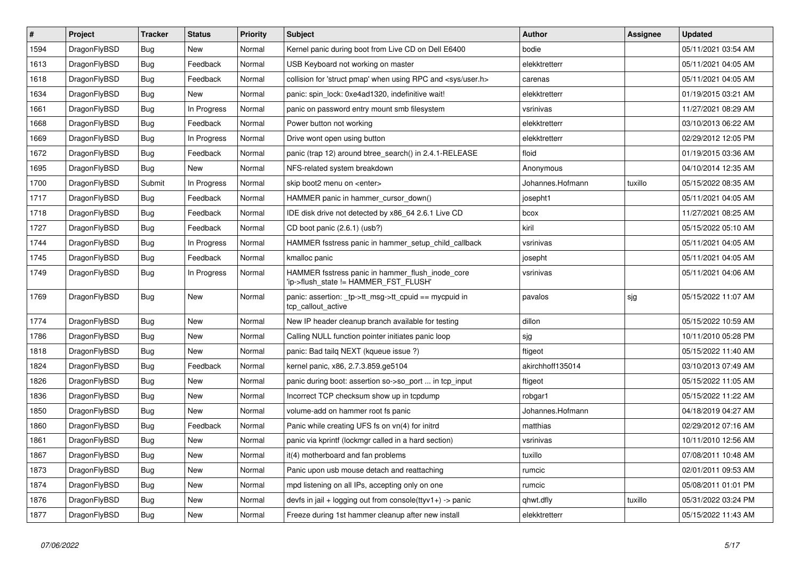| $\vert$ # | <b>Project</b> | <b>Tracker</b> | <b>Status</b> | <b>Priority</b> | <b>Subject</b>                                                                            | <b>Author</b>    | <b>Assignee</b> | <b>Updated</b>      |
|-----------|----------------|----------------|---------------|-----------------|-------------------------------------------------------------------------------------------|------------------|-----------------|---------------------|
| 1594      | DragonFlyBSD   | <b>Bug</b>     | <b>New</b>    | Normal          | Kernel panic during boot from Live CD on Dell E6400                                       | bodie            |                 | 05/11/2021 03:54 AM |
| 1613      | DragonFlyBSD   | Bug            | Feedback      | Normal          | USB Keyboard not working on master                                                        | elekktretterr    |                 | 05/11/2021 04:05 AM |
| 1618      | DragonFlyBSD   | <b>Bug</b>     | Feedback      | Normal          | collision for 'struct pmap' when using RPC and <sys user.h=""></sys>                      | carenas          |                 | 05/11/2021 04:05 AM |
| 1634      | DragonFlyBSD   | <b>Bug</b>     | New           | Normal          | panic: spin lock: 0xe4ad1320, indefinitive wait!                                          | elekktretterr    |                 | 01/19/2015 03:21 AM |
| 1661      | DragonFlyBSD   | <b>Bug</b>     | In Progress   | Normal          | panic on password entry mount smb filesystem                                              | vsrinivas        |                 | 11/27/2021 08:29 AM |
| 1668      | DragonFlyBSD   | <b>Bug</b>     | Feedback      | Normal          | Power button not working                                                                  | elekktretterr    |                 | 03/10/2013 06:22 AM |
| 1669      | DragonFlyBSD   | <b>Bug</b>     | In Progress   | Normal          | Drive wont open using button                                                              | elekktretterr    |                 | 02/29/2012 12:05 PM |
| 1672      | DragonFlyBSD   | Bug            | Feedback      | Normal          | panic (trap 12) around btree search() in 2.4.1-RELEASE                                    | floid            |                 | 01/19/2015 03:36 AM |
| 1695      | DragonFlyBSD   | Bug            | <b>New</b>    | Normal          | NFS-related system breakdown                                                              | Anonymous        |                 | 04/10/2014 12:35 AM |
| 1700      | DragonFlyBSD   | Submit         | In Progress   | Normal          | skip boot2 menu on <enter></enter>                                                        | Johannes.Hofmann | tuxillo         | 05/15/2022 08:35 AM |
| 1717      | DragonFlyBSD   | Bug            | Feedback      | Normal          | HAMMER panic in hammer cursor down()                                                      | josepht1         |                 | 05/11/2021 04:05 AM |
| 1718      | DragonFlyBSD   | <b>Bug</b>     | Feedback      | Normal          | IDE disk drive not detected by x86 64 2.6.1 Live CD                                       | bcox             |                 | 11/27/2021 08:25 AM |
| 1727      | DragonFlyBSD   | <b>Bug</b>     | Feedback      | Normal          | CD boot panic (2.6.1) (usb?)                                                              | kiril            |                 | 05/15/2022 05:10 AM |
| 1744      | DragonFlyBSD   | <b>Bug</b>     | In Progress   | Normal          | HAMMER fsstress panic in hammer_setup_child_callback                                      | vsrinivas        |                 | 05/11/2021 04:05 AM |
| 1745      | DragonFlyBSD   | <b>Bug</b>     | Feedback      | Normal          | kmalloc panic                                                                             | josepht          |                 | 05/11/2021 04:05 AM |
| 1749      | DragonFlyBSD   | Bug            | In Progress   | Normal          | HAMMER fsstress panic in hammer_flush_inode_core<br>'ip->flush state != HAMMER FST FLUSH' | vsrinivas        |                 | 05/11/2021 04:06 AM |
| 1769      | DragonFlyBSD   | <b>Bug</b>     | <b>New</b>    | Normal          | panic: assertion: _tp->tt_msg->tt_cpuid == mycpuid in<br>tcp callout active               | pavalos          | sjg             | 05/15/2022 11:07 AM |
| 1774      | DragonFlyBSD   | <b>Bug</b>     | <b>New</b>    | Normal          | New IP header cleanup branch available for testing                                        | dillon           |                 | 05/15/2022 10:59 AM |
| 1786      | DragonFlyBSD   | <b>Bug</b>     | <b>New</b>    | Normal          | Calling NULL function pointer initiates panic loop                                        | sjg              |                 | 10/11/2010 05:28 PM |
| 1818      | DragonFlyBSD   | Bug            | <b>New</b>    | Normal          | panic: Bad tailg NEXT (kqueue issue ?)                                                    | ftigeot          |                 | 05/15/2022 11:40 AM |
| 1824      | DragonFlyBSD   | Bug            | Feedback      | Normal          | kernel panic, x86, 2.7.3.859.ge5104                                                       | akirchhoff135014 |                 | 03/10/2013 07:49 AM |
| 1826      | DragonFlyBSD   | Bug            | <b>New</b>    | Normal          | panic during boot: assertion so->so port  in tcp input                                    | ftigeot          |                 | 05/15/2022 11:05 AM |
| 1836      | DragonFlyBSD   | <b>Bug</b>     | <b>New</b>    | Normal          | Incorrect TCP checksum show up in tcpdump                                                 | robgar1          |                 | 05/15/2022 11:22 AM |
| 1850      | DragonFlyBSD   | Bug            | <b>New</b>    | Normal          | volume-add on hammer root fs panic                                                        | Johannes.Hofmann |                 | 04/18/2019 04:27 AM |
| 1860      | DragonFlyBSD   | Bug            | Feedback      | Normal          | Panic while creating UFS fs on vn(4) for initrd                                           | matthias         |                 | 02/29/2012 07:16 AM |
| 1861      | DragonFlyBSD   | <b>Bug</b>     | <b>New</b>    | Normal          | panic via kprintf (lockmgr called in a hard section)                                      | vsrinivas        |                 | 10/11/2010 12:56 AM |
| 1867      | DragonFlyBSD   | Bug            | New           | Normal          | it(4) motherboard and fan problems                                                        | tuxillo          |                 | 07/08/2011 10:48 AM |
| 1873      | DragonFlyBSD   | Bug            | <b>New</b>    | Normal          | Panic upon usb mouse detach and reattaching                                               | rumcic           |                 | 02/01/2011 09:53 AM |
| 1874      | DragonFlyBSD   | Bug            | <b>New</b>    | Normal          | mpd listening on all IPs, accepting only on one                                           | rumcic           |                 | 05/08/2011 01:01 PM |
| 1876      | DragonFlyBSD   | Bug            | <b>New</b>    | Normal          | devfs in $ ail + logging$ out from console(ttyv1+) -> panic                               | qhwt.dfly        | tuxillo         | 05/31/2022 03:24 PM |
| 1877      | DragonFlyBSD   | Bug            | New           | Normal          | Freeze during 1st hammer cleanup after new install                                        | elekktretterr    |                 | 05/15/2022 11:43 AM |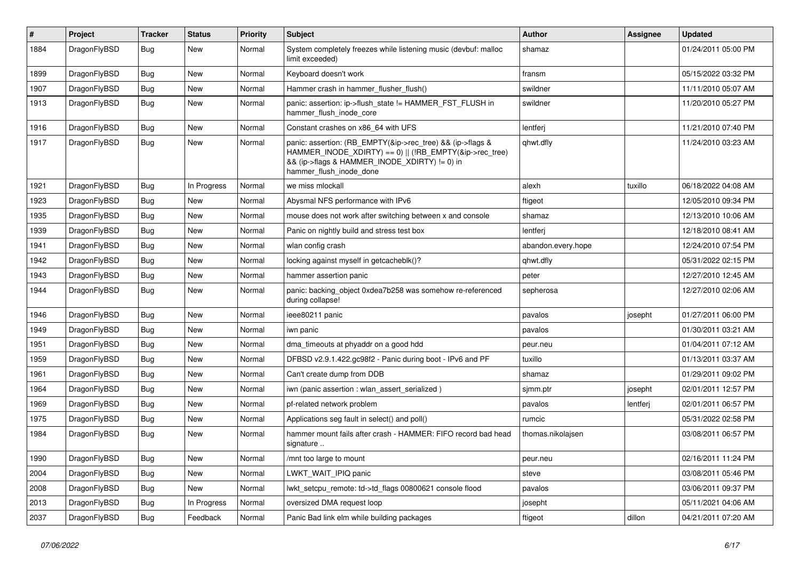| #    | Project      | <b>Tracker</b> | <b>Status</b> | <b>Priority</b> | <b>Subject</b>                                                                                                                                                                                    | <b>Author</b>      | <b>Assignee</b> | <b>Updated</b>      |
|------|--------------|----------------|---------------|-----------------|---------------------------------------------------------------------------------------------------------------------------------------------------------------------------------------------------|--------------------|-----------------|---------------------|
| 1884 | DragonFlyBSD | Bug            | New           | Normal          | System completely freezes while listening music (devbuf: malloc<br>limit exceeded)                                                                                                                | shamaz             |                 | 01/24/2011 05:00 PM |
| 1899 | DragonFlyBSD | Bug            | New           | Normal          | Keyboard doesn't work                                                                                                                                                                             | fransm             |                 | 05/15/2022 03:32 PM |
| 1907 | DragonFlyBSD | Bug            | <b>New</b>    | Normal          | Hammer crash in hammer flusher flush()                                                                                                                                                            | swildner           |                 | 11/11/2010 05:07 AM |
| 1913 | DragonFlyBSD | Bug            | New           | Normal          | panic: assertion: ip->flush_state != HAMMER_FST_FLUSH in<br>hammer flush inode core                                                                                                               | swildner           |                 | 11/20/2010 05:27 PM |
| 1916 | DragonFlyBSD | Bug            | <b>New</b>    | Normal          | Constant crashes on x86 64 with UFS                                                                                                                                                               | lentferj           |                 | 11/21/2010 07:40 PM |
| 1917 | DragonFlyBSD | Bug            | <b>New</b>    | Normal          | panic: assertion: (RB_EMPTY(&ip->rec_tree) && (ip->flags &<br>HAMMER_INODE_XDIRTY) == 0)    (!RB_EMPTY(&ip->rec_tree)<br>&& (ip->flags & HAMMER_INODE_XDIRTY) != 0) in<br>hammer_flush_inode_done | qhwt.dfly          |                 | 11/24/2010 03:23 AM |
| 1921 | DragonFlyBSD | Bug            | In Progress   | Normal          | we miss mlockall                                                                                                                                                                                  | alexh              | tuxillo         | 06/18/2022 04:08 AM |
| 1923 | DragonFlyBSD | Bug            | <b>New</b>    | Normal          | Abysmal NFS performance with IPv6                                                                                                                                                                 | ftigeot            |                 | 12/05/2010 09:34 PM |
| 1935 | DragonFlyBSD | <b>Bug</b>     | New           | Normal          | mouse does not work after switching between x and console                                                                                                                                         | shamaz             |                 | 12/13/2010 10:06 AM |
| 1939 | DragonFlyBSD | <b>Bug</b>     | New           | Normal          | Panic on nightly build and stress test box                                                                                                                                                        | lentferj           |                 | 12/18/2010 08:41 AM |
| 1941 | DragonFlyBSD | <b>Bug</b>     | New           | Normal          | wlan config crash                                                                                                                                                                                 | abandon.every.hope |                 | 12/24/2010 07:54 PM |
| 1942 | DragonFlyBSD | <b>Bug</b>     | <b>New</b>    | Normal          | locking against myself in getcacheblk()?                                                                                                                                                          | qhwt.dfly          |                 | 05/31/2022 02:15 PM |
| 1943 | DragonFlyBSD | Bug            | New           | Normal          | hammer assertion panic                                                                                                                                                                            | peter              |                 | 12/27/2010 12:45 AM |
| 1944 | DragonFlyBSD | <b>Bug</b>     | <b>New</b>    | Normal          | panic: backing_object 0xdea7b258 was somehow re-referenced<br>during collapse!                                                                                                                    | sepherosa          |                 | 12/27/2010 02:06 AM |
| 1946 | DragonFlyBSD | Bug            | <b>New</b>    | Normal          | ieee80211 panic                                                                                                                                                                                   | pavalos            | josepht         | 01/27/2011 06:00 PM |
| 1949 | DragonFlyBSD | <b>Bug</b>     | New           | Normal          | iwn panic                                                                                                                                                                                         | pavalos            |                 | 01/30/2011 03:21 AM |
| 1951 | DragonFlyBSD | <b>Bug</b>     | New           | Normal          | dma_timeouts at phyaddr on a good hdd                                                                                                                                                             | peur.neu           |                 | 01/04/2011 07:12 AM |
| 1959 | DragonFlyBSD | <b>Bug</b>     | <b>New</b>    | Normal          | DFBSD v2.9.1.422.gc98f2 - Panic during boot - IPv6 and PF                                                                                                                                         | tuxillo            |                 | 01/13/2011 03:37 AM |
| 1961 | DragonFlyBSD | <b>Bug</b>     | New           | Normal          | Can't create dump from DDB                                                                                                                                                                        | shamaz             |                 | 01/29/2011 09:02 PM |
| 1964 | DragonFlyBSD | Bug            | New           | Normal          | iwn (panic assertion : wlan_assert_serialized)                                                                                                                                                    | sjmm.ptr           | josepht         | 02/01/2011 12:57 PM |
| 1969 | DragonFlyBSD | <b>Bug</b>     | New           | Normal          | pf-related network problem                                                                                                                                                                        | pavalos            | lentferj        | 02/01/2011 06:57 PM |
| 1975 | DragonFlyBSD | <b>Bug</b>     | <b>New</b>    | Normal          | Applications seg fault in select() and poll()                                                                                                                                                     | rumcic             |                 | 05/31/2022 02:58 PM |
| 1984 | DragonFlyBSD | <b>Bug</b>     | New           | Normal          | hammer mount fails after crash - HAMMER: FIFO record bad head<br>signature                                                                                                                        | thomas.nikolajsen  |                 | 03/08/2011 06:57 PM |
| 1990 | DragonFlyBSD | <b>Bug</b>     | New           | Normal          | /mnt too large to mount                                                                                                                                                                           | peur.neu           |                 | 02/16/2011 11:24 PM |
| 2004 | DragonFlyBSD | <b>Bug</b>     | New           | Normal          | LWKT_WAIT_IPIQ panic                                                                                                                                                                              | steve              |                 | 03/08/2011 05:46 PM |
| 2008 | DragonFlyBSD | <b>Bug</b>     | <b>New</b>    | Normal          | lwkt_setcpu_remote: td->td_flags 00800621 console flood                                                                                                                                           | pavalos            |                 | 03/06/2011 09:37 PM |
| 2013 | DragonFlyBSD | <b>Bug</b>     | In Progress   | Normal          | oversized DMA request loop                                                                                                                                                                        | josepht            |                 | 05/11/2021 04:06 AM |
| 2037 | DragonFlyBSD | <b>Bug</b>     | Feedback      | Normal          | Panic Bad link elm while building packages                                                                                                                                                        | ftigeot            | dillon          | 04/21/2011 07:20 AM |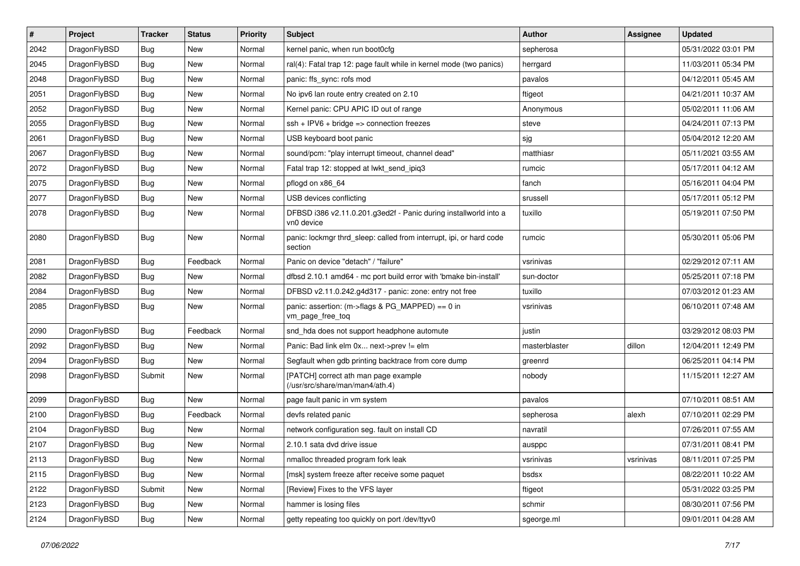| $\pmb{\#}$ | Project      | <b>Tracker</b> | <b>Status</b> | Priority | Subject                                                                        | <b>Author</b> | <b>Assignee</b> | <b>Updated</b>      |
|------------|--------------|----------------|---------------|----------|--------------------------------------------------------------------------------|---------------|-----------------|---------------------|
| 2042       | DragonFlyBSD | Bug            | <b>New</b>    | Normal   | kernel panic, when run boot0cfg                                                | sepherosa     |                 | 05/31/2022 03:01 PM |
| 2045       | DragonFlyBSD | Bug            | <b>New</b>    | Normal   | ral(4): Fatal trap 12: page fault while in kernel mode (two panics)            | herrgard      |                 | 11/03/2011 05:34 PM |
| 2048       | DragonFlyBSD | Bug            | <b>New</b>    | Normal   | panic: ffs sync: rofs mod                                                      | pavalos       |                 | 04/12/2011 05:45 AM |
| 2051       | DragonFlyBSD | Bug            | <b>New</b>    | Normal   | No ipv6 lan route entry created on 2.10                                        | ftigeot       |                 | 04/21/2011 10:37 AM |
| 2052       | DragonFlyBSD | Bug            | New           | Normal   | Kernel panic: CPU APIC ID out of range                                         | Anonymous     |                 | 05/02/2011 11:06 AM |
| 2055       | DragonFlyBSD | Bug            | <b>New</b>    | Normal   | $ssh + IPV6 + bridge \Rightarrow connection freezes$                           | steve         |                 | 04/24/2011 07:13 PM |
| 2061       | DragonFlyBSD | Bug            | <b>New</b>    | Normal   | USB keyboard boot panic                                                        | sjg           |                 | 05/04/2012 12:20 AM |
| 2067       | DragonFlyBSD | Bug            | New           | Normal   | sound/pcm: "play interrupt timeout, channel dead"                              | matthiasr     |                 | 05/11/2021 03:55 AM |
| 2072       | DragonFlyBSD | Bug            | <b>New</b>    | Normal   | Fatal trap 12: stopped at lwkt send ipig3                                      | rumcic        |                 | 05/17/2011 04:12 AM |
| 2075       | DragonFlyBSD | Bug            | <b>New</b>    | Normal   | pflogd on x86_64                                                               | fanch         |                 | 05/16/2011 04:04 PM |
| 2077       | DragonFlyBSD | Bug            | <b>New</b>    | Normal   | USB devices conflicting                                                        | srussell      |                 | 05/17/2011 05:12 PM |
| 2078       | DragonFlyBSD | Bug            | New           | Normal   | DFBSD i386 v2.11.0.201.g3ed2f - Panic during installworld into a<br>vn0 device | tuxillo       |                 | 05/19/2011 07:50 PM |
| 2080       | DragonFlyBSD | Bug            | <b>New</b>    | Normal   | panic: lockmgr thrd_sleep: called from interrupt, ipi, or hard code<br>section | rumcic        |                 | 05/30/2011 05:06 PM |
| 2081       | DragonFlyBSD | <b>Bug</b>     | Feedback      | Normal   | Panic on device "detach" / "failure"                                           | vsrinivas     |                 | 02/29/2012 07:11 AM |
| 2082       | DragonFlyBSD | Bug            | <b>New</b>    | Normal   | dfbsd 2.10.1 amd64 - mc port build error with 'bmake bin-install'              | sun-doctor    |                 | 05/25/2011 07:18 PM |
| 2084       | DragonFlyBSD | Bug            | <b>New</b>    | Normal   | DFBSD v2.11.0.242.g4d317 - panic: zone: entry not free                         | tuxillo       |                 | 07/03/2012 01:23 AM |
| 2085       | DragonFlyBSD | Bug            | <b>New</b>    | Normal   | panic: assertion: (m->flags & PG_MAPPED) == 0 in<br>vm_page_free_toq           | vsrinivas     |                 | 06/10/2011 07:48 AM |
| 2090       | DragonFlyBSD | Bug            | Feedback      | Normal   | snd_hda does not support headphone automute                                    | justin        |                 | 03/29/2012 08:03 PM |
| 2092       | DragonFlyBSD | Bug            | New           | Normal   | Panic: Bad link elm 0x next->prev != elm                                       | masterblaster | dillon          | 12/04/2011 12:49 PM |
| 2094       | DragonFlyBSD | Bug            | <b>New</b>    | Normal   | Segfault when gdb printing backtrace from core dump                            | greenrd       |                 | 06/25/2011 04:14 PM |
| 2098       | DragonFlyBSD | Submit         | New           | Normal   | [PATCH] correct ath man page example<br>(/usr/src/share/man/man4/ath.4)        | nobody        |                 | 11/15/2011 12:27 AM |
| 2099       | DragonFlyBSD | Bug            | <b>New</b>    | Normal   | page fault panic in vm system                                                  | pavalos       |                 | 07/10/2011 08:51 AM |
| 2100       | DragonFlyBSD | Bug            | Feedback      | Normal   | devfs related panic                                                            | sepherosa     | alexh           | 07/10/2011 02:29 PM |
| 2104       | DragonFlyBSD | Bug            | New           | Normal   | network configuration seg. fault on install CD                                 | navratil      |                 | 07/26/2011 07:55 AM |
| 2107       | DragonFlyBSD | Bug            | <b>New</b>    | Normal   | 2.10.1 sata dvd drive issue                                                    | ausppc        |                 | 07/31/2011 08:41 PM |
| 2113       | DragonFlyBSD | <b>Bug</b>     | New           | Normal   | nmalloc threaded program fork leak                                             | vsrinivas     | vsrinivas       | 08/11/2011 07:25 PM |
| 2115       | DragonFlyBSD | Bug            | <b>New</b>    | Normal   | [msk] system freeze after receive some paquet                                  | bsdsx         |                 | 08/22/2011 10:22 AM |
| 2122       | DragonFlyBSD | Submit         | New           | Normal   | [Review] Fixes to the VFS layer                                                | ftigeot       |                 | 05/31/2022 03:25 PM |
| 2123       | DragonFlyBSD | Bug            | New           | Normal   | hammer is losing files                                                         | schmir        |                 | 08/30/2011 07:56 PM |
| 2124       | DragonFlyBSD | <b>Bug</b>     | New           | Normal   | getty repeating too quickly on port /dev/ttyv0                                 | sgeorge.ml    |                 | 09/01/2011 04:28 AM |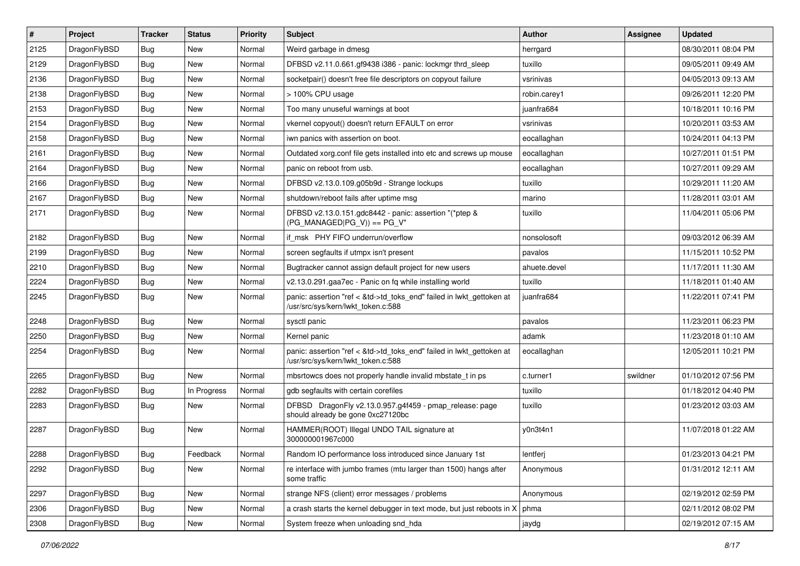| $\sharp$ | Project      | <b>Tracker</b> | <b>Status</b> | <b>Priority</b> | Subject                                                                                                    | Author       | Assignee | <b>Updated</b>      |
|----------|--------------|----------------|---------------|-----------------|------------------------------------------------------------------------------------------------------------|--------------|----------|---------------------|
| 2125     | DragonFlyBSD | Bug            | New           | Normal          | Weird garbage in dmesg                                                                                     | herrgard     |          | 08/30/2011 08:04 PM |
| 2129     | DragonFlyBSD | Bug            | New           | Normal          | DFBSD v2.11.0.661.gf9438 i386 - panic: lockmgr thrd_sleep                                                  | tuxillo      |          | 09/05/2011 09:49 AM |
| 2136     | DragonFlyBSD | Bug            | New           | Normal          | socketpair() doesn't free file descriptors on copyout failure                                              | vsrinivas    |          | 04/05/2013 09:13 AM |
| 2138     | DragonFlyBSD | Bug            | New           | Normal          | > 100% CPU usage                                                                                           | robin.carey1 |          | 09/26/2011 12:20 PM |
| 2153     | DragonFlyBSD | Bug            | <b>New</b>    | Normal          | Too many unuseful warnings at boot                                                                         | juanfra684   |          | 10/18/2011 10:16 PM |
| 2154     | DragonFlyBSD | Bug            | <b>New</b>    | Normal          | vkernel copyout() doesn't return EFAULT on error                                                           | vsrinivas    |          | 10/20/2011 03:53 AM |
| 2158     | DragonFlyBSD | Bug            | New           | Normal          | iwn panics with assertion on boot.                                                                         | eocallaghan  |          | 10/24/2011 04:13 PM |
| 2161     | DragonFlyBSD | Bug            | New           | Normal          | Outdated xorg.conf file gets installed into etc and screws up mouse                                        | eocallaghan  |          | 10/27/2011 01:51 PM |
| 2164     | DragonFlyBSD | Bug            | New           | Normal          | panic on reboot from usb.                                                                                  | eocallaghan  |          | 10/27/2011 09:29 AM |
| 2166     | DragonFlyBSD | Bug            | New           | Normal          | DFBSD v2.13.0.109.g05b9d - Strange lockups                                                                 | tuxillo      |          | 10/29/2011 11:20 AM |
| 2167     | DragonFlyBSD | Bug            | New           | Normal          | shutdown/reboot fails after uptime msg                                                                     | marino       |          | 11/28/2011 03:01 AM |
| 2171     | DragonFlyBSD | Bug            | <b>New</b>    | Normal          | DFBSD v2.13.0.151.gdc8442 - panic: assertion "(*ptep &<br>$(PG$ MANAGED PG V)) == PG V"                    | tuxillo      |          | 11/04/2011 05:06 PM |
| 2182     | DragonFlyBSD | Bug            | New           | Normal          | if_msk PHY FIFO underrun/overflow                                                                          | nonsolosoft  |          | 09/03/2012 06:39 AM |
| 2199     | DragonFlyBSD | <b>Bug</b>     | New           | Normal          | screen segfaults if utmpx isn't present                                                                    | pavalos      |          | 11/15/2011 10:52 PM |
| 2210     | DragonFlyBSD | <b>Bug</b>     | New           | Normal          | Bugtracker cannot assign default project for new users                                                     | ahuete.devel |          | 11/17/2011 11:30 AM |
| 2224     | DragonFlyBSD | <b>Bug</b>     | <b>New</b>    | Normal          | v2.13.0.291.gaa7ec - Panic on fq while installing world                                                    | tuxillo      |          | 11/18/2011 01:40 AM |
| 2245     | DragonFlyBSD | Bug            | New           | Normal          | panic: assertion "ref < &td->td_toks_end" failed in lwkt_gettoken at<br>/usr/src/sys/kern/lwkt_token.c:588 | juanfra684   |          | 11/22/2011 07:41 PM |
| 2248     | DragonFlyBSD | <b>Bug</b>     | <b>New</b>    | Normal          | sysctl panic                                                                                               | pavalos      |          | 11/23/2011 06:23 PM |
| 2250     | DragonFlyBSD | <b>Bug</b>     | New           | Normal          | Kernel panic                                                                                               | adamk        |          | 11/23/2018 01:10 AM |
| 2254     | DragonFlyBSD | <b>Bug</b>     | New           | Normal          | panic: assertion "ref < &td->td_toks_end" failed in lwkt_gettoken at<br>/usr/src/sys/kern/lwkt_token.c:588 | eocallaghan  |          | 12/05/2011 10:21 PM |
| 2265     | DragonFlyBSD | <b>Bug</b>     | New           | Normal          | mbsrtowcs does not properly handle invalid mbstate_t in ps                                                 | c.turner1    | swildner | 01/10/2012 07:56 PM |
| 2282     | DragonFlyBSD | <b>Bug</b>     | In Progress   | Normal          | gdb segfaults with certain corefiles                                                                       | tuxillo      |          | 01/18/2012 04:40 PM |
| 2283     | DragonFlyBSD | <b>Bug</b>     | New           | Normal          | DFBSD DragonFly v2.13.0.957.g4f459 - pmap_release: page<br>should already be gone 0xc27120bc               | tuxillo      |          | 01/23/2012 03:03 AM |
| 2287     | DragonFlyBSD | Bug            | New           | Normal          | HAMMER(ROOT) Illegal UNDO TAIL signature at<br>300000001967c000                                            | y0n3t4n1     |          | 11/07/2018 01:22 AM |
| 2288     | DragonFlyBSD | <b>Bug</b>     | Feedback      | Normal          | Random IO performance loss introduced since January 1st                                                    | lentferj     |          | 01/23/2013 04:21 PM |
| 2292     | DragonFlyBSD | <b>Bug</b>     | New           | Normal          | re interface with jumbo frames (mtu larger than 1500) hangs after<br>some traffic                          | Anonymous    |          | 01/31/2012 12:11 AM |
| 2297     | DragonFlyBSD | <b>Bug</b>     | <b>New</b>    | Normal          | strange NFS (client) error messages / problems                                                             | Anonymous    |          | 02/19/2012 02:59 PM |
| 2306     | DragonFlyBSD | <b>Bug</b>     | New           | Normal          | a crash starts the kernel debugger in text mode, but just reboots in X                                     | phma         |          | 02/11/2012 08:02 PM |
| 2308     | DragonFlyBSD | <b>Bug</b>     | New           | Normal          | System freeze when unloading snd_hda                                                                       | jaydg        |          | 02/19/2012 07:15 AM |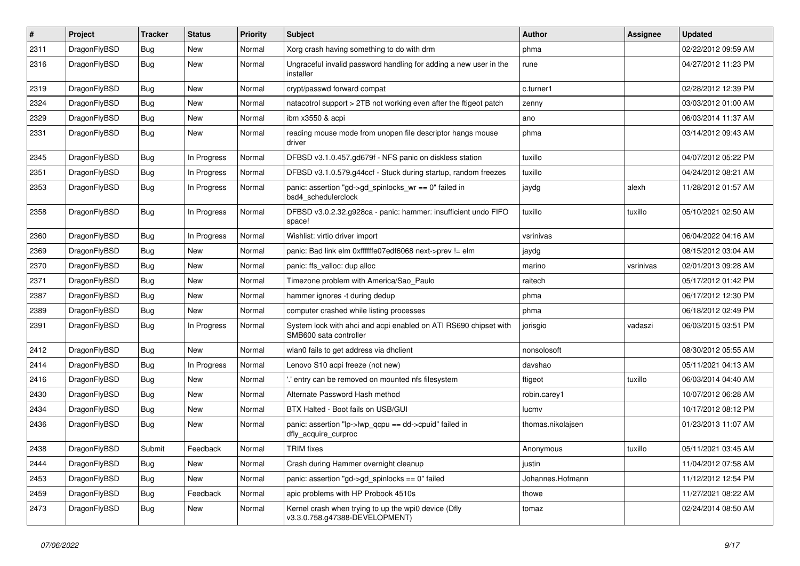| $\sharp$ | Project      | <b>Tracker</b> | <b>Status</b> | <b>Priority</b> | Subject                                                                                    | Author            | Assignee  | <b>Updated</b>      |
|----------|--------------|----------------|---------------|-----------------|--------------------------------------------------------------------------------------------|-------------------|-----------|---------------------|
| 2311     | DragonFlyBSD | <b>Bug</b>     | New           | Normal          | Xorg crash having something to do with drm                                                 | phma              |           | 02/22/2012 09:59 AM |
| 2316     | DragonFlyBSD | <b>Bug</b>     | New           | Normal          | Ungraceful invalid password handling for adding a new user in the<br>installer             | rune              |           | 04/27/2012 11:23 PM |
| 2319     | DragonFlyBSD | <b>Bug</b>     | New           | Normal          | crypt/passwd forward compat                                                                | c.turner1         |           | 02/28/2012 12:39 PM |
| 2324     | DragonFlyBSD | <b>Bug</b>     | <b>New</b>    | Normal          | natacotrol support > 2TB not working even after the ftigeot patch                          | zenny             |           | 03/03/2012 01:00 AM |
| 2329     | DragonFlyBSD | <b>Bug</b>     | New           | Normal          | ibm x3550 & acpi                                                                           | ano               |           | 06/03/2014 11:37 AM |
| 2331     | DragonFlyBSD | <b>Bug</b>     | New           | Normal          | reading mouse mode from unopen file descriptor hangs mouse<br>driver                       | phma              |           | 03/14/2012 09:43 AM |
| 2345     | DragonFlyBSD | <b>Bug</b>     | In Progress   | Normal          | DFBSD v3.1.0.457.gd679f - NFS panic on diskless station                                    | tuxillo           |           | 04/07/2012 05:22 PM |
| 2351     | DragonFlyBSD | <b>Bug</b>     | In Progress   | Normal          | DFBSD v3.1.0.579.g44ccf - Stuck during startup, random freezes                             | tuxillo           |           | 04/24/2012 08:21 AM |
| 2353     | DragonFlyBSD | <b>Bug</b>     | In Progress   | Normal          | panic: assertion "gd->gd_spinlocks_wr == 0" failed in<br>bsd4_schedulerclock               | jaydg             | alexh     | 11/28/2012 01:57 AM |
| 2358     | DragonFlyBSD | <b>Bug</b>     | In Progress   | Normal          | DFBSD v3.0.2.32.g928ca - panic: hammer: insufficient undo FIFO<br>space!                   | tuxillo           | tuxillo   | 05/10/2021 02:50 AM |
| 2360     | DragonFlyBSD | <b>Bug</b>     | In Progress   | Normal          | Wishlist: virtio driver import                                                             | vsrinivas         |           | 06/04/2022 04:16 AM |
| 2369     | DragonFlyBSD | <b>Bug</b>     | New           | Normal          | panic: Bad link elm 0xffffffe07edf6068 next->prev != elm                                   | jaydg             |           | 08/15/2012 03:04 AM |
| 2370     | DragonFlyBSD | <b>Bug</b>     | New           | Normal          | panic: ffs_valloc: dup alloc                                                               | marino            | vsrinivas | 02/01/2013 09:28 AM |
| 2371     | DragonFlyBSD | Bug            | New           | Normal          | Timezone problem with America/Sao_Paulo                                                    | raitech           |           | 05/17/2012 01:42 PM |
| 2387     | DragonFlyBSD | <b>Bug</b>     | <b>New</b>    | Normal          | hammer ignores -t during dedup                                                             | phma              |           | 06/17/2012 12:30 PM |
| 2389     | DragonFlyBSD | <b>Bug</b>     | New           | Normal          | computer crashed while listing processes                                                   | phma              |           | 06/18/2012 02:49 PM |
| 2391     | DragonFlyBSD | Bug            | In Progress   | Normal          | System lock with ahci and acpi enabled on ATI RS690 chipset with<br>SMB600 sata controller | jorisgio          | vadaszi   | 06/03/2015 03:51 PM |
| 2412     | DragonFlyBSD | Bug            | New           | Normal          | wlan0 fails to get address via dhclient                                                    | nonsolosoft       |           | 08/30/2012 05:55 AM |
| 2414     | DragonFlyBSD | <b>Bug</b>     | In Progress   | Normal          | Lenovo S10 acpi freeze (not new)                                                           | davshao           |           | 05/11/2021 04:13 AM |
| 2416     | DragonFlyBSD | Bug            | <b>New</b>    | Normal          | ' entry can be removed on mounted nfs filesystem                                           | ftigeot           | tuxillo   | 06/03/2014 04:40 AM |
| 2430     | DragonFlyBSD | Bug            | New           | Normal          | Alternate Password Hash method                                                             | robin.carey1      |           | 10/07/2012 06:28 AM |
| 2434     | DragonFlyBSD | <b>Bug</b>     | New           | Normal          | BTX Halted - Boot fails on USB/GUI                                                         | lucmv             |           | 10/17/2012 08:12 PM |
| 2436     | DragonFlyBSD | <b>Bug</b>     | New           | Normal          | panic: assertion "lp->lwp_qcpu == dd->cpuid" failed in<br>dfly_acquire_curproc             | thomas.nikolajsen |           | 01/23/2013 11:07 AM |
| 2438     | DragonFlyBSD | Submit         | Feedback      | Normal          | <b>TRIM</b> fixes                                                                          | Anonymous         | tuxillo   | 05/11/2021 03:45 AM |
| 2444     | DragonFlyBSD | Bug            | New           | Normal          | Crash during Hammer overnight cleanup                                                      | justin            |           | 11/04/2012 07:58 AM |
| 2453     | DragonFlyBSD | Bug            | New           | Normal          | panic: assertion "gd->gd_spinlocks == 0" failed                                            | Johannes.Hofmann  |           | 11/12/2012 12:54 PM |
| 2459     | DragonFlyBSD | <b>Bug</b>     | Feedback      | Normal          | apic problems with HP Probook 4510s                                                        | thowe             |           | 11/27/2021 08:22 AM |
| 2473     | DragonFlyBSD | Bug            | New           | Normal          | Kernel crash when trying to up the wpi0 device (Dfly<br>v3.3.0.758.g47388-DEVELOPMENT)     | tomaz             |           | 02/24/2014 08:50 AM |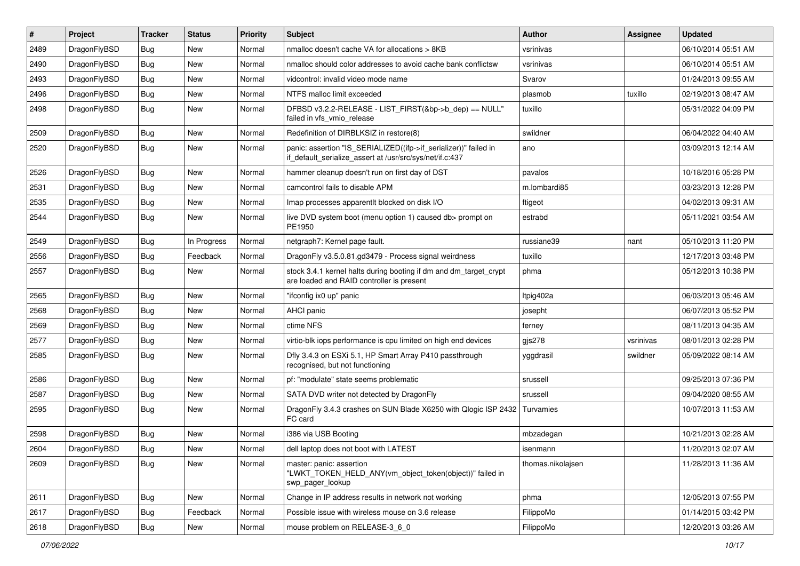| $\vert$ # | Project      | <b>Tracker</b> | <b>Status</b> | <b>Priority</b> | <b>Subject</b>                                                                                                               | Author            | Assignee  | <b>Updated</b>      |
|-----------|--------------|----------------|---------------|-----------------|------------------------------------------------------------------------------------------------------------------------------|-------------------|-----------|---------------------|
| 2489      | DragonFlyBSD | Bug            | <b>New</b>    | Normal          | nmalloc doesn't cache VA for allocations > 8KB                                                                               | vsrinivas         |           | 06/10/2014 05:51 AM |
| 2490      | DragonFlyBSD | <b>Bug</b>     | <b>New</b>    | Normal          | nmalloc should color addresses to avoid cache bank conflictsw                                                                | vsrinivas         |           | 06/10/2014 05:51 AM |
| 2493      | DragonFlyBSD | <b>Bug</b>     | <b>New</b>    | Normal          | vidcontrol: invalid video mode name                                                                                          | Svarov            |           | 01/24/2013 09:55 AM |
| 2496      | DragonFlyBSD | Bug            | <b>New</b>    | Normal          | NTFS malloc limit exceeded                                                                                                   | plasmob           | tuxillo   | 02/19/2013 08:47 AM |
| 2498      | DragonFlyBSD | Bug            | <b>New</b>    | Normal          | DFBSD v3.2.2-RELEASE - LIST_FIRST(&bp->b_dep) == NULL"<br>failed in vfs_vmio_release                                         | tuxillo           |           | 05/31/2022 04:09 PM |
| 2509      | DragonFlyBSD | Bug            | <b>New</b>    | Normal          | Redefinition of DIRBLKSIZ in restore(8)                                                                                      | swildner          |           | 06/04/2022 04:40 AM |
| 2520      | DragonFlyBSD | Bug            | New           | Normal          | panic: assertion "IS SERIALIZED((ifp->if serializer))" failed in<br>if_default_serialize_assert at /usr/src/sys/net/if.c:437 | ano               |           | 03/09/2013 12:14 AM |
| 2526      | DragonFlyBSD | <b>Bug</b>     | <b>New</b>    | Normal          | hammer cleanup doesn't run on first day of DST                                                                               | pavalos           |           | 10/18/2016 05:28 PM |
| 2531      | DragonFlyBSD | Bug            | <b>New</b>    | Normal          | camcontrol fails to disable APM                                                                                              | m.lombardi85      |           | 03/23/2013 12:28 PM |
| 2535      | DragonFlyBSD | Bug            | New           | Normal          | Imap processes apparentlt blocked on disk I/O                                                                                | ftigeot           |           | 04/02/2013 09:31 AM |
| 2544      | DragonFlyBSD | Bug            | New           | Normal          | live DVD system boot (menu option 1) caused db> prompt on<br>PE1950                                                          | estrabd           |           | 05/11/2021 03:54 AM |
| 2549      | DragonFlyBSD | Bug            | In Progress   | Normal          | netgraph7: Kernel page fault.                                                                                                | russiane39        | nant      | 05/10/2013 11:20 PM |
| 2556      | DragonFlyBSD | <b>Bug</b>     | Feedback      | Normal          | DragonFly v3.5.0.81.gd3479 - Process signal weirdness                                                                        | tuxillo           |           | 12/17/2013 03:48 PM |
| 2557      | DragonFlyBSD | Bug            | <b>New</b>    | Normal          | stock 3.4.1 kernel halts during booting if dm and dm_target_crypt<br>are loaded and RAID controller is present               | phma              |           | 05/12/2013 10:38 PM |
| 2565      | DragonFlyBSD | Bug            | <b>New</b>    | Normal          | "ifconfig ix0 up" panic                                                                                                      | Itpig402a         |           | 06/03/2013 05:46 AM |
| 2568      | DragonFlyBSD | Bug            | <b>New</b>    | Normal          | AHCI panic                                                                                                                   | josepht           |           | 06/07/2013 05:52 PM |
| 2569      | DragonFlyBSD | <b>Bug</b>     | <b>New</b>    | Normal          | ctime NFS                                                                                                                    | ferney            |           | 08/11/2013 04:35 AM |
| 2577      | DragonFlyBSD | <b>Bug</b>     | <b>New</b>    | Normal          | virtio-blk iops performance is cpu limited on high end devices                                                               | gjs278            | vsrinivas | 08/01/2013 02:28 PM |
| 2585      | DragonFlyBSD | Bug            | <b>New</b>    | Normal          | Dfly 3.4.3 on ESXi 5.1, HP Smart Array P410 passthrough<br>recognised, but not functioning                                   | yggdrasil         | swildner  | 05/09/2022 08:14 AM |
| 2586      | DragonFlyBSD | Bug            | <b>New</b>    | Normal          | pf: "modulate" state seems problematic                                                                                       | srussell          |           | 09/25/2013 07:36 PM |
| 2587      | DragonFlyBSD | <b>Bug</b>     | <b>New</b>    | Normal          | SATA DVD writer not detected by DragonFly                                                                                    | srussell          |           | 09/04/2020 08:55 AM |
| 2595      | DragonFlyBSD | Bug            | <b>New</b>    | Normal          | DragonFly 3.4.3 crashes on SUN Blade X6250 with Qlogic ISP 2432<br>FC card                                                   | Turvamies         |           | 10/07/2013 11:53 AM |
| 2598      | DragonFlyBSD | <b>Bug</b>     | <b>New</b>    | Normal          | i386 via USB Booting                                                                                                         | mbzadegan         |           | 10/21/2013 02:28 AM |
| 2604      | DragonFlyBSD | Bug            | New           | Normal          | dell laptop does not boot with LATEST                                                                                        | isenmann          |           | 11/20/2013 02:07 AM |
| 2609      | DragonFlyBSD | Bug            | New           | Normal          | master: panic: assertion<br>"LWKT_TOKEN_HELD_ANY(vm_object_token(object))" failed in<br>swp_pager_lookup                     | thomas.nikolajsen |           | 11/28/2013 11:36 AM |
| 2611      | DragonFlyBSD | Bug            | New           | Normal          | Change in IP address results in network not working                                                                          | phma              |           | 12/05/2013 07:55 PM |
| 2617      | DragonFlyBSD | <b>Bug</b>     | Feedback      | Normal          | Possible issue with wireless mouse on 3.6 release                                                                            | FilippoMo         |           | 01/14/2015 03:42 PM |
| 2618      | DragonFlyBSD | <b>Bug</b>     | New           | Normal          | mouse problem on RELEASE-3 6 0                                                                                               | FilippoMo         |           | 12/20/2013 03:26 AM |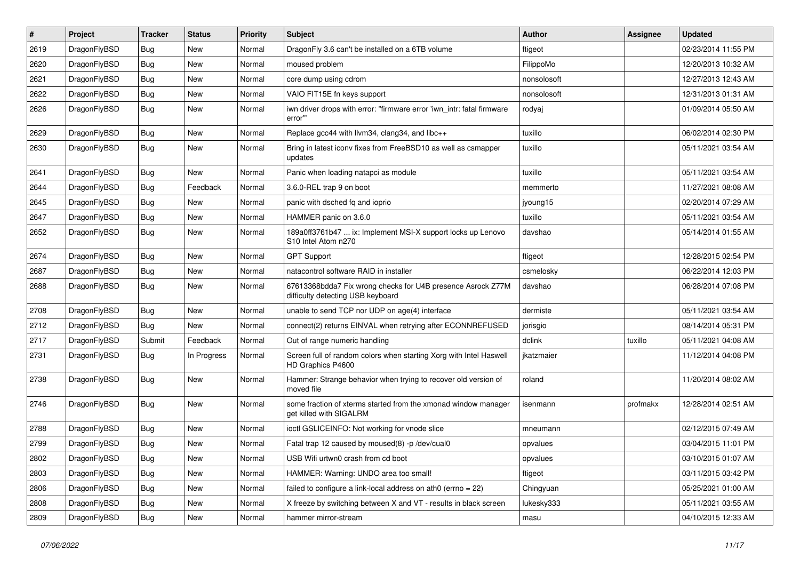| #    | Project      | <b>Tracker</b> | <b>Status</b> | <b>Priority</b> | Subject                                                                                          | Author      | Assignee | <b>Updated</b>      |
|------|--------------|----------------|---------------|-----------------|--------------------------------------------------------------------------------------------------|-------------|----------|---------------------|
| 2619 | DragonFlyBSD | Bug            | <b>New</b>    | Normal          | DragonFly 3.6 can't be installed on a 6TB volume                                                 | ftigeot     |          | 02/23/2014 11:55 PM |
| 2620 | DragonFlyBSD | <b>Bug</b>     | New           | Normal          | moused problem                                                                                   | FilippoMo   |          | 12/20/2013 10:32 AM |
| 2621 | DragonFlyBSD | <b>Bug</b>     | New           | Normal          | core dump using cdrom                                                                            | nonsolosoft |          | 12/27/2013 12:43 AM |
| 2622 | DragonFlyBSD | <b>Bug</b>     | New           | Normal          | VAIO FIT15E fn keys support                                                                      | nonsolosoft |          | 12/31/2013 01:31 AM |
| 2626 | DragonFlyBSD | Bug            | New           | Normal          | iwn driver drops with error: "firmware error 'iwn_intr: fatal firmware<br>error""                | rodyaj      |          | 01/09/2014 05:50 AM |
| 2629 | DragonFlyBSD | Bug            | New           | Normal          | Replace gcc44 with llvm34, clang34, and libc++                                                   | tuxillo     |          | 06/02/2014 02:30 PM |
| 2630 | DragonFlyBSD | Bug            | New           | Normal          | Bring in latest iconv fixes from FreeBSD10 as well as csmapper<br>updates                        | tuxillo     |          | 05/11/2021 03:54 AM |
| 2641 | DragonFlyBSD | Bug            | New           | Normal          | Panic when loading natapci as module                                                             | tuxillo     |          | 05/11/2021 03:54 AM |
| 2644 | DragonFlyBSD | Bug            | Feedback      | Normal          | 3.6.0-REL trap 9 on boot                                                                         | memmerto    |          | 11/27/2021 08:08 AM |
| 2645 | DragonFlyBSD | Bug            | <b>New</b>    | Normal          | panic with dsched fq and ioprio                                                                  | jyoung15    |          | 02/20/2014 07:29 AM |
| 2647 | DragonFlyBSD | Bug            | New           | Normal          | HAMMER panic on 3.6.0                                                                            | tuxillo     |          | 05/11/2021 03:54 AM |
| 2652 | DragonFlyBSD | Bug            | New           | Normal          | 189a0ff3761b47  ix: Implement MSI-X support locks up Lenovo<br>S10 Intel Atom n270               | davshao     |          | 05/14/2014 01:55 AM |
| 2674 | DragonFlyBSD | Bug            | <b>New</b>    | Normal          | <b>GPT Support</b>                                                                               | ftigeot     |          | 12/28/2015 02:54 PM |
| 2687 | DragonFlyBSD | <b>Bug</b>     | New           | Normal          | natacontrol software RAID in installer                                                           | csmelosky   |          | 06/22/2014 12:03 PM |
| 2688 | DragonFlyBSD | <b>Bug</b>     | New           | Normal          | 67613368bdda7 Fix wrong checks for U4B presence Asrock Z77M<br>difficulty detecting USB keyboard | davshao     |          | 06/28/2014 07:08 PM |
| 2708 | DragonFlyBSD | Bug            | New           | Normal          | unable to send TCP nor UDP on age(4) interface                                                   | dermiste    |          | 05/11/2021 03:54 AM |
| 2712 | DragonFlyBSD | Bug            | New           | Normal          | connect(2) returns EINVAL when retrying after ECONNREFUSED                                       | jorisgio    |          | 08/14/2014 05:31 PM |
| 2717 | DragonFlyBSD | Submit         | Feedback      | Normal          | Out of range numeric handling                                                                    | dclink      | tuxillo  | 05/11/2021 04:08 AM |
| 2731 | DragonFlyBSD | <b>Bug</b>     | In Progress   | Normal          | Screen full of random colors when starting Xorg with Intel Haswell<br>HD Graphics P4600          | ikatzmaier  |          | 11/12/2014 04:08 PM |
| 2738 | DragonFlyBSD | <b>Bug</b>     | New           | Normal          | Hammer: Strange behavior when trying to recover old version of<br>moved file                     | roland      |          | 11/20/2014 08:02 AM |
| 2746 | DragonFlyBSD | <b>Bug</b>     | New           | Normal          | some fraction of xterms started from the xmonad window manager<br>get killed with SIGALRM        | isenmann    | profmakx | 12/28/2014 02:51 AM |
| 2788 | DragonFlyBSD | <b>Bug</b>     | <b>New</b>    | Normal          | ioctl GSLICEINFO: Not working for vnode slice                                                    | mneumann    |          | 02/12/2015 07:49 AM |
| 2799 | DragonFlyBSD | Bug            | New           | Normal          | Fatal trap 12 caused by moused(8) -p /dev/cual0                                                  | opvalues    |          | 03/04/2015 11:01 PM |
| 2802 | DragonFlyBSD | <b>Bug</b>     | New           | Normal          | USB Wifi urtwn0 crash from cd boot                                                               | opvalues    |          | 03/10/2015 01:07 AM |
| 2803 | DragonFlyBSD | <b>Bug</b>     | New           | Normal          | HAMMER: Warning: UNDO area too small!                                                            | ftigeot     |          | 03/11/2015 03:42 PM |
| 2806 | DragonFlyBSD | <b>Bug</b>     | New           | Normal          | failed to configure a link-local address on ath0 (errno = 22)                                    | Chingyuan   |          | 05/25/2021 01:00 AM |
| 2808 | DragonFlyBSD | <b>Bug</b>     | <b>New</b>    | Normal          | X freeze by switching between X and VT - results in black screen                                 | lukesky333  |          | 05/11/2021 03:55 AM |
| 2809 | DragonFlyBSD | <b>Bug</b>     | New           | Normal          | hammer mirror-stream                                                                             | masu        |          | 04/10/2015 12:33 AM |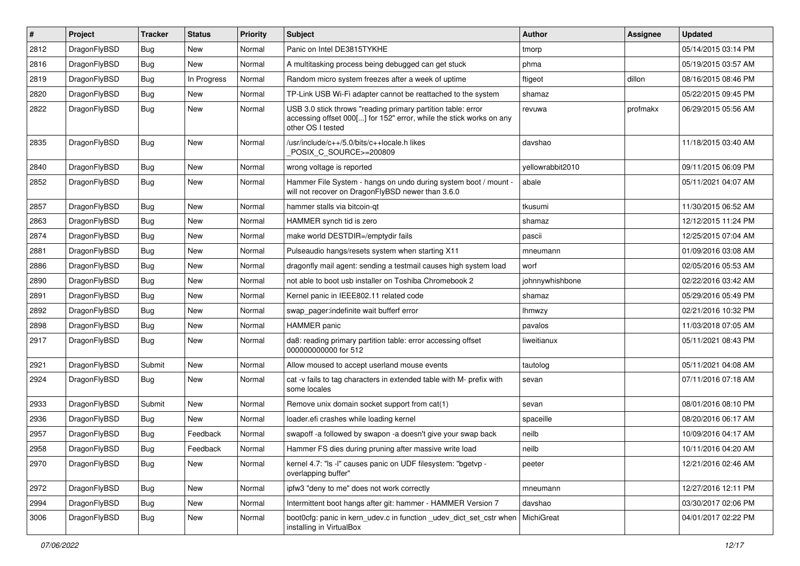| $\sharp$ | Project      | <b>Tracker</b> | <b>Status</b> | <b>Priority</b> | Subject                                                                                                                                                  | Author           | Assignee | <b>Updated</b>      |
|----------|--------------|----------------|---------------|-----------------|----------------------------------------------------------------------------------------------------------------------------------------------------------|------------------|----------|---------------------|
| 2812     | DragonFlyBSD | <b>Bug</b>     | <b>New</b>    | Normal          | Panic on Intel DE3815TYKHE                                                                                                                               | tmorp            |          | 05/14/2015 03:14 PM |
| 2816     | DragonFlyBSD | <b>Bug</b>     | <b>New</b>    | Normal          | A multitasking process being debugged can get stuck                                                                                                      | phma             |          | 05/19/2015 03:57 AM |
| 2819     | DragonFlyBSD | <b>Bug</b>     | In Progress   | Normal          | Random micro system freezes after a week of uptime                                                                                                       | ftigeot          | dillon   | 08/16/2015 08:46 PM |
| 2820     | DragonFlyBSD | <b>Bug</b>     | New           | Normal          | TP-Link USB Wi-Fi adapter cannot be reattached to the system                                                                                             | shamaz           |          | 05/22/2015 09:45 PM |
| 2822     | DragonFlyBSD | <b>Bug</b>     | <b>New</b>    | Normal          | USB 3.0 stick throws "reading primary partition table: error<br>accessing offset 000[] for 152" error, while the stick works on any<br>other OS I tested | revuwa           | profmakx | 06/29/2015 05:56 AM |
| 2835     | DragonFlyBSD | Bug            | <b>New</b>    | Normal          | /usr/include/c++/5.0/bits/c++locale.h likes<br>POSIX_C_SOURCE>=200809                                                                                    | davshao          |          | 11/18/2015 03:40 AM |
| 2840     | DragonFlyBSD | <b>Bug</b>     | <b>New</b>    | Normal          | wrong voltage is reported                                                                                                                                | yellowrabbit2010 |          | 09/11/2015 06:09 PM |
| 2852     | DragonFlyBSD | <b>Bug</b>     | New           | Normal          | Hammer File System - hangs on undo during system boot / mount -<br>will not recover on DragonFlyBSD newer than 3.6.0                                     | abale            |          | 05/11/2021 04:07 AM |
| 2857     | DragonFlyBSD | <b>Bug</b>     | <b>New</b>    | Normal          | hammer stalls via bitcoin-qt                                                                                                                             | tkusumi          |          | 11/30/2015 06:52 AM |
| 2863     | DragonFlyBSD | <b>Bug</b>     | New           | Normal          | HAMMER synch tid is zero                                                                                                                                 | shamaz           |          | 12/12/2015 11:24 PM |
| 2874     | DragonFlyBSD | <b>Bug</b>     | New           | Normal          | make world DESTDIR=/emptydir fails                                                                                                                       | pascii           |          | 12/25/2015 07:04 AM |
| 2881     | DragonFlyBSD | <b>Bug</b>     | New           | Normal          | Pulseaudio hangs/resets system when starting X11                                                                                                         | mneumann         |          | 01/09/2016 03:08 AM |
| 2886     | DragonFlyBSD | <b>Bug</b>     | New           | Normal          | dragonfly mail agent: sending a testmail causes high system load                                                                                         | worf             |          | 02/05/2016 05:53 AM |
| 2890     | DragonFlyBSD | <b>Bug</b>     | <b>New</b>    | Normal          | not able to boot usb installer on Toshiba Chromebook 2                                                                                                   | johnnywhishbone  |          | 02/22/2016 03:42 AM |
| 2891     | DragonFlyBSD | <b>Bug</b>     | New           | Normal          | Kernel panic in IEEE802.11 related code                                                                                                                  | shamaz           |          | 05/29/2016 05:49 PM |
| 2892     | DragonFlyBSD | <b>Bug</b>     | New           | Normal          | swap pager: indefinite wait bufferf error                                                                                                                | lhmwzy           |          | 02/21/2016 10:32 PM |
| 2898     | DragonFlyBSD | <b>Bug</b>     | New           | Normal          | HAMMER panic                                                                                                                                             | pavalos          |          | 11/03/2018 07:05 AM |
| 2917     | DragonFlyBSD | <b>Bug</b>     | New           | Normal          | da8: reading primary partition table: error accessing offset<br>000000000000 for 512                                                                     | liweitianux      |          | 05/11/2021 08:43 PM |
| 2921     | DragonFlyBSD | Submit         | <b>New</b>    | Normal          | Allow moused to accept userland mouse events                                                                                                             | tautolog         |          | 05/11/2021 04:08 AM |
| 2924     | DragonFlyBSD | Bug            | New           | Normal          | cat -v fails to tag characters in extended table with M- prefix with<br>some locales                                                                     | sevan            |          | 07/11/2016 07:18 AM |
| 2933     | DragonFlyBSD | Submit         | <b>New</b>    | Normal          | Remove unix domain socket support from cat(1)                                                                                                            | sevan            |          | 08/01/2016 08:10 PM |
| 2936     | DragonFlyBSD | <b>Bug</b>     | New           | Normal          | loader.efi crashes while loading kernel                                                                                                                  | spaceille        |          | 08/20/2016 06:17 AM |
| 2957     | DragonFlyBSD | <b>Bug</b>     | Feedback      | Normal          | swapoff -a followed by swapon -a doesn't give your swap back                                                                                             | neilb            |          | 10/09/2016 04:17 AM |
| 2958     | DragonFlyBSD | Bug            | Feedback      | Normal          | Hammer FS dies during pruning after massive write load                                                                                                   | neilb            |          | 10/11/2016 04:20 AM |
| 2970     | DragonFlyBSD | <b>Bug</b>     | New           | Normal          | kernel 4.7: "Is -I" causes panic on UDF filesystem: "bgetvp -<br>overlapping buffer"                                                                     | peeter           |          | 12/21/2016 02:46 AM |
| 2972     | DragonFlyBSD | <b>Bug</b>     | <b>New</b>    | Normal          | ipfw3 "deny to me" does not work correctly                                                                                                               | mneumann         |          | 12/27/2016 12:11 PM |
| 2994     | DragonFlyBSD | <b>Bug</b>     | New           | Normal          | Intermittent boot hangs after git: hammer - HAMMER Version 7                                                                                             | davshao          |          | 03/30/2017 02:06 PM |
| 3006     | DragonFlyBSD | <b>Bug</b>     | New           | Normal          | boot0cfg: panic in kern_udev.c in function _udev_dict_set_cstr when<br>installing in VirtualBox                                                          | MichiGreat       |          | 04/01/2017 02:22 PM |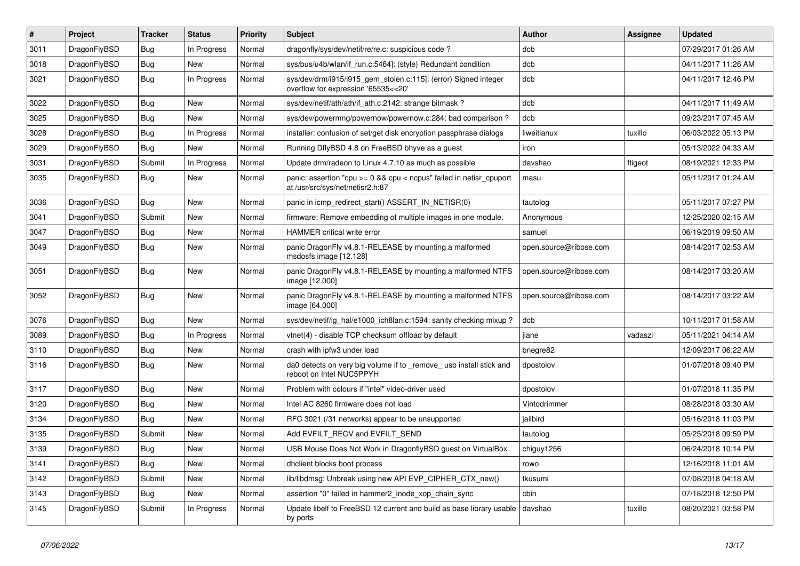| $\sharp$ | Project      | <b>Tracker</b> | <b>Status</b> | <b>Priority</b> | Subject                                                                                                 | Author                 | Assignee | <b>Updated</b>      |
|----------|--------------|----------------|---------------|-----------------|---------------------------------------------------------------------------------------------------------|------------------------|----------|---------------------|
| 3011     | DragonFlyBSD | <b>Bug</b>     | In Progress   | Normal          | dragonfly/sys/dev/netif/re/re.c: suspicious code ?                                                      | dcb                    |          | 07/29/2017 01:26 AM |
| 3018     | DragonFlyBSD | <b>Bug</b>     | <b>New</b>    | Normal          | sys/bus/u4b/wlan/if_run.c:5464]: (style) Redundant condition                                            | dcb                    |          | 04/11/2017 11:26 AM |
| 3021     | DragonFlyBSD | <b>Bug</b>     | In Progress   | Normal          | sys/dev/drm/i915/i915_gem_stolen.c:115]: (error) Signed integer<br>overflow for expression '65535<<20'  | dcb                    |          | 04/11/2017 12:46 PM |
| 3022     | DragonFlyBSD | Bug            | <b>New</b>    | Normal          | sys/dev/netif/ath/ath/if_ath.c:2142: strange bitmask?                                                   | dcb                    |          | 04/11/2017 11:49 AM |
| 3025     | DragonFlyBSD | <b>Bug</b>     | New           | Normal          | sys/dev/powermng/powernow/powernow.c:284: bad comparison?                                               | dcb                    |          | 09/23/2017 07:45 AM |
| 3028     | DragonFlyBSD | <b>Bug</b>     | In Progress   | Normal          | installer: confusion of set/get disk encryption passphrase dialogs                                      | liweitianux            | tuxillo  | 06/03/2022 05:13 PM |
| 3029     | DragonFlyBSD | <b>Bug</b>     | New           | Normal          | Running DflyBSD 4.8 on FreeBSD bhyve as a guest                                                         | iron                   |          | 05/13/2022 04:33 AM |
| 3031     | DragonFlyBSD | Submit         | In Progress   | Normal          | Update drm/radeon to Linux 4.7.10 as much as possible                                                   | davshao                | ftigeot  | 08/19/2021 12:33 PM |
| 3035     | DragonFlyBSD | <b>Bug</b>     | New           | Normal          | panic: assertion "cpu >= 0 && cpu < ncpus" failed in netisr_cpuport<br>at /usr/src/sys/net/netisr2.h:87 | masu                   |          | 05/11/2017 01:24 AM |
| 3036     | DragonFlyBSD | <b>Bug</b>     | <b>New</b>    | Normal          | panic in icmp_redirect_start() ASSERT_IN_NETISR(0)                                                      | tautolog               |          | 05/11/2017 07:27 PM |
| 3041     | DragonFlyBSD | Submit         | New           | Normal          | firmware: Remove embedding of multiple images in one module.                                            | Anonymous              |          | 12/25/2020 02:15 AM |
| 3047     | DragonFlyBSD | <b>Bug</b>     | New           | Normal          | HAMMER critical write error                                                                             | samuel                 |          | 06/19/2019 09:50 AM |
| 3049     | DragonFlyBSD | <b>Bug</b>     | New           | Normal          | panic DragonFly v4.8.1-RELEASE by mounting a malformed<br>msdosfs image [12.128]                        | open.source@ribose.com |          | 08/14/2017 02:53 AM |
| 3051     | DragonFlyBSD | <b>Bug</b>     | New           | Normal          | panic DragonFly v4.8.1-RELEASE by mounting a malformed NTFS<br>image [12.000]                           | open.source@ribose.com |          | 08/14/2017 03:20 AM |
| 3052     | DragonFlyBSD | <b>Bug</b>     | New           | Normal          | panic DragonFly v4.8.1-RELEASE by mounting a malformed NTFS<br>image [64.000]                           | open.source@ribose.com |          | 08/14/2017 03:22 AM |
| 3076     | DragonFlyBSD | <b>Bug</b>     | <b>New</b>    | Normal          | sys/dev/netif/ig hal/e1000 ich8lan.c:1594: sanity checking mixup?                                       | dcb                    |          | 10/11/2017 01:58 AM |
| 3089     | DragonFlyBSD | <b>Bug</b>     | In Progress   | Normal          | vtnet(4) - disable TCP checksum offload by default                                                      | jlane                  | vadaszi  | 05/11/2021 04:14 AM |
| 3110     | DragonFlyBSD | Bug            | New           | Normal          | crash with ipfw3 under load                                                                             | bnegre82               |          | 12/09/2017 06:22 AM |
| 3116     | DragonFlyBSD | Bug            | New           | Normal          | da0 detects on very big volume if to _remove_ usb install stick and<br>reboot on Intel NUC5PPYH         | dpostolov              |          | 01/07/2018 09:40 PM |
| 3117     | DragonFlyBSD | Bug            | New           | Normal          | Problem with colours if "intel" video-driver used                                                       | dpostolov              |          | 01/07/2018 11:35 PM |
| 3120     | DragonFlyBSD | Bug            | New           | Normal          | Intel AC 8260 firmware does not load                                                                    | Vintodrimmer           |          | 08/28/2018 03:30 AM |
| 3134     | DragonFlyBSD | Bug            | New           | Normal          | RFC 3021 (/31 networks) appear to be unsupported                                                        | jailbird               |          | 05/16/2018 11:03 PM |
| 3135     | DragonFlyBSD | Submit         | New           | Normal          | Add EVFILT_RECV and EVFILT_SEND                                                                         | tautolog               |          | 05/25/2018 09:59 PM |
| 3139     | DragonFlyBSD | Bug            | <b>New</b>    | Normal          | USB Mouse Does Not Work in DragonflyBSD guest on VirtualBox                                             | chiguy1256             |          | 06/24/2018 10:14 PM |
| 3141     | DragonFlyBSD | Bug            | New           | Normal          | dhclient blocks boot process                                                                            | rowo                   |          | 12/16/2018 11:01 AM |
| 3142     | DragonFlyBSD | Submit         | New           | Normal          | lib/libdmsg: Unbreak using new API EVP_CIPHER_CTX_new()                                                 | tkusumi                |          | 07/08/2018 04:18 AM |
| 3143     | DragonFlyBSD | <b>Bug</b>     | New           | Normal          | assertion "0" failed in hammer2_inode_xop_chain_sync                                                    | cbin                   |          | 07/18/2018 12:50 PM |
| 3145     | DragonFlyBSD | Submit         | In Progress   | Normal          | Update libelf to FreeBSD 12 current and build as base library usable<br>by ports                        | davshao                | tuxillo  | 08/20/2021 03:58 PM |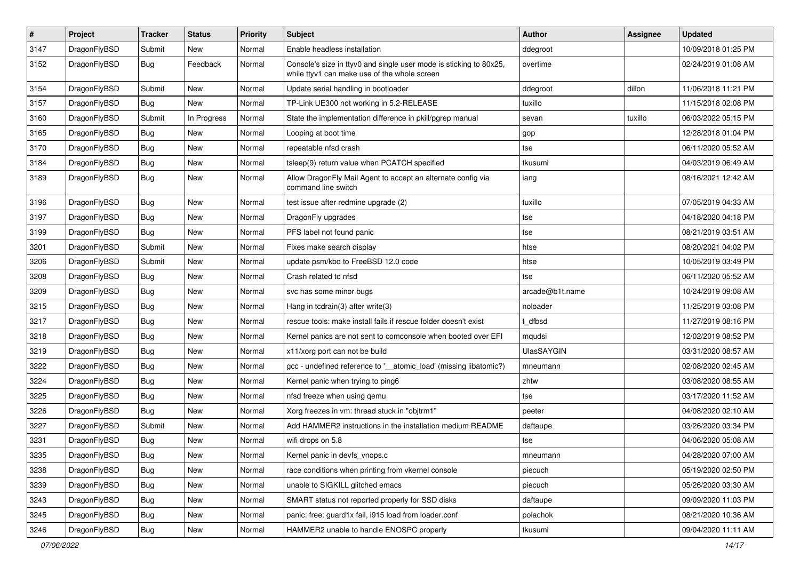| $\pmb{\#}$ | Project      | <b>Tracker</b> | <b>Status</b> | <b>Priority</b> | Subject                                                                                                            | Author            | Assignee | <b>Updated</b>      |
|------------|--------------|----------------|---------------|-----------------|--------------------------------------------------------------------------------------------------------------------|-------------------|----------|---------------------|
| 3147       | DragonFlyBSD | Submit         | New           | Normal          | Enable headless installation                                                                                       | ddegroot          |          | 10/09/2018 01:25 PM |
| 3152       | DragonFlyBSD | <b>Bug</b>     | Feedback      | Normal          | Console's size in ttyv0 and single user mode is sticking to 80x25,<br>while ttyv1 can make use of the whole screen | overtime          |          | 02/24/2019 01:08 AM |
| 3154       | DragonFlyBSD | Submit         | <b>New</b>    | Normal          | Update serial handling in bootloader                                                                               | ddegroot          | dillon   | 11/06/2018 11:21 PM |
| 3157       | DragonFlyBSD | <b>Bug</b>     | <b>New</b>    | Normal          | TP-Link UE300 not working in 5.2-RELEASE                                                                           | tuxillo           |          | 11/15/2018 02:08 PM |
| 3160       | DragonFlyBSD | Submit         | In Progress   | Normal          | State the implementation difference in pkill/pgrep manual                                                          | sevan             | tuxillo  | 06/03/2022 05:15 PM |
| 3165       | DragonFlyBSD | Bug            | New           | Normal          | Looping at boot time                                                                                               | gop               |          | 12/28/2018 01:04 PM |
| 3170       | DragonFlyBSD | Bug            | New           | Normal          | repeatable nfsd crash                                                                                              | tse               |          | 06/11/2020 05:52 AM |
| 3184       | DragonFlyBSD | Bug            | New           | Normal          | tsleep(9) return value when PCATCH specified                                                                       | tkusumi           |          | 04/03/2019 06:49 AM |
| 3189       | DragonFlyBSD | Bug            | New           | Normal          | Allow DragonFly Mail Agent to accept an alternate config via<br>command line switch                                | iang              |          | 08/16/2021 12:42 AM |
| 3196       | DragonFlyBSD | Bug            | <b>New</b>    | Normal          | test issue after redmine upgrade (2)                                                                               | tuxillo           |          | 07/05/2019 04:33 AM |
| 3197       | DragonFlyBSD | <b>Bug</b>     | <b>New</b>    | Normal          | DragonFly upgrades                                                                                                 | tse               |          | 04/18/2020 04:18 PM |
| 3199       | DragonFlyBSD | <b>Bug</b>     | <b>New</b>    | Normal          | PFS label not found panic                                                                                          | tse               |          | 08/21/2019 03:51 AM |
| 3201       | DragonFlyBSD | Submit         | New           | Normal          | Fixes make search display                                                                                          | htse              |          | 08/20/2021 04:02 PM |
| 3206       | DragonFlyBSD | Submit         | New           | Normal          | update psm/kbd to FreeBSD 12.0 code                                                                                | htse              |          | 10/05/2019 03:49 PM |
| 3208       | DragonFlyBSD | <b>Bug</b>     | <b>New</b>    | Normal          | Crash related to nfsd                                                                                              | tse               |          | 06/11/2020 05:52 AM |
| 3209       | DragonFlyBSD | Bug            | <b>New</b>    | Normal          | svc has some minor bugs                                                                                            | arcade@b1t.name   |          | 10/24/2019 09:08 AM |
| 3215       | DragonFlyBSD | <b>Bug</b>     | New           | Normal          | Hang in todrain(3) after write(3)                                                                                  | noloader          |          | 11/25/2019 03:08 PM |
| 3217       | DragonFlyBSD | Bug            | <b>New</b>    | Normal          | rescue tools: make install fails if rescue folder doesn't exist                                                    | t_dfbsd           |          | 11/27/2019 08:16 PM |
| 3218       | DragonFlyBSD | <b>Bug</b>     | New           | Normal          | Kernel panics are not sent to comconsole when booted over EFI                                                      | mqudsi            |          | 12/02/2019 08:52 PM |
| 3219       | DragonFlyBSD | Bug            | <b>New</b>    | Normal          | x11/xorg port can not be build                                                                                     | <b>UlasSAYGIN</b> |          | 03/31/2020 08:57 AM |
| 3222       | DragonFlyBSD | Bug            | New           | Normal          | gcc - undefined reference to '__atomic_load' (missing libatomic?)                                                  | mneumann          |          | 02/08/2020 02:45 AM |
| 3224       | DragonFlyBSD | <b>Bug</b>     | <b>New</b>    | Normal          | Kernel panic when trying to ping6                                                                                  | zhtw              |          | 03/08/2020 08:55 AM |
| 3225       | DragonFlyBSD | Bug            | New           | Normal          | nfsd freeze when using gemu                                                                                        | tse               |          | 03/17/2020 11:52 AM |
| 3226       | DragonFlyBSD | <b>Bug</b>     | <b>New</b>    | Normal          | Xorg freezes in vm: thread stuck in "objtrm1"                                                                      | peeter            |          | 04/08/2020 02:10 AM |
| 3227       | DragonFlyBSD | Submit         | <b>New</b>    | Normal          | Add HAMMER2 instructions in the installation medium README                                                         | daftaupe          |          | 03/26/2020 03:34 PM |
| 3231       | DragonFlyBSD | Bug            | New           | Normal          | wifi drops on 5.8                                                                                                  | tse               |          | 04/06/2020 05:08 AM |
| 3235       | DragonFlyBSD | <b>Bug</b>     | <b>New</b>    | Normal          | Kernel panic in devfs_vnops.c                                                                                      | mneumann          |          | 04/28/2020 07:00 AM |
| 3238       | DragonFlyBSD | <b>Bug</b>     | <b>New</b>    | Normal          | race conditions when printing from vkernel console                                                                 | piecuch           |          | 05/19/2020 02:50 PM |
| 3239       | DragonFlyBSD | <b>Bug</b>     | New           | Normal          | unable to SIGKILL glitched emacs                                                                                   | piecuch           |          | 05/26/2020 03:30 AM |
| 3243       | DragonFlyBSD | <b>Bug</b>     | New           | Normal          | SMART status not reported properly for SSD disks                                                                   | daftaupe          |          | 09/09/2020 11:03 PM |
| 3245       | DragonFlyBSD | <b>Bug</b>     | New           | Normal          | panic: free: guard1x fail, i915 load from loader.conf                                                              | polachok          |          | 08/21/2020 10:36 AM |
| 3246       | DragonFlyBSD | <b>Bug</b>     | New           | Normal          | HAMMER2 unable to handle ENOSPC properly                                                                           | tkusumi           |          | 09/04/2020 11:11 AM |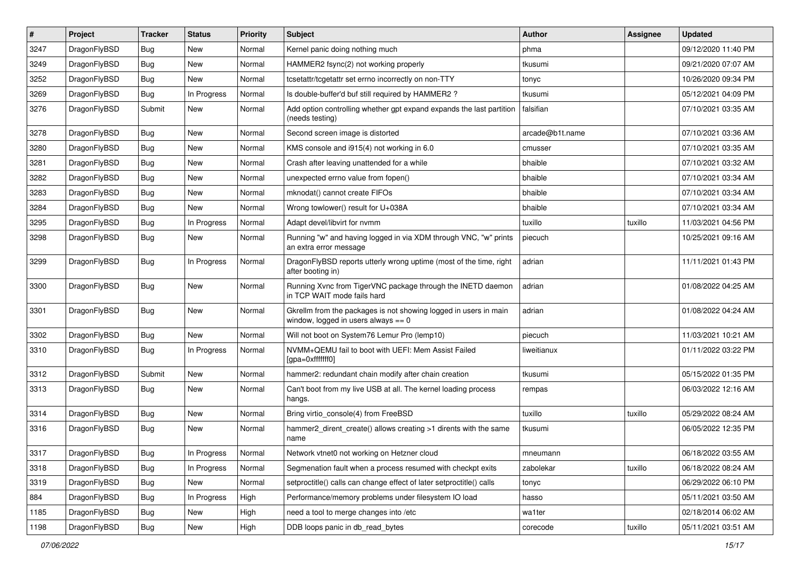| ∦    | Project      | <b>Tracker</b> | <b>Status</b> | <b>Priority</b> | <b>Subject</b>                                                                                            | Author          | Assignee | <b>Updated</b>      |
|------|--------------|----------------|---------------|-----------------|-----------------------------------------------------------------------------------------------------------|-----------------|----------|---------------------|
| 3247 | DragonFlyBSD | <b>Bug</b>     | <b>New</b>    | Normal          | Kernel panic doing nothing much                                                                           | phma            |          | 09/12/2020 11:40 PM |
| 3249 | DragonFlyBSD | <b>Bug</b>     | <b>New</b>    | Normal          | HAMMER2 fsync(2) not working properly                                                                     | tkusumi         |          | 09/21/2020 07:07 AM |
| 3252 | DragonFlyBSD | <b>Bug</b>     | New           | Normal          | tcsetattr/tcgetattr set errno incorrectly on non-TTY                                                      | tonyc           |          | 10/26/2020 09:34 PM |
| 3269 | DragonFlyBSD | Bug            | In Progress   | Normal          | Is double-buffer'd buf still required by HAMMER2 ?                                                        | tkusumi         |          | 05/12/2021 04:09 PM |
| 3276 | DragonFlyBSD | Submit         | <b>New</b>    | Normal          | Add option controlling whether gpt expand expands the last partition<br>(needs testing)                   | falsifian       |          | 07/10/2021 03:35 AM |
| 3278 | DragonFlyBSD | Bug            | <b>New</b>    | Normal          | Second screen image is distorted                                                                          | arcade@b1t.name |          | 07/10/2021 03:36 AM |
| 3280 | DragonFlyBSD | <b>Bug</b>     | <b>New</b>    | Normal          | KMS console and i915(4) not working in 6.0                                                                | cmusser         |          | 07/10/2021 03:35 AM |
| 3281 | DragonFlyBSD | <b>Bug</b>     | <b>New</b>    | Normal          | Crash after leaving unattended for a while                                                                | bhaible         |          | 07/10/2021 03:32 AM |
| 3282 | DragonFlyBSD | <b>Bug</b>     | <b>New</b>    | Normal          | unexpected errno value from fopen()                                                                       | bhaible         |          | 07/10/2021 03:34 AM |
| 3283 | DragonFlyBSD | <b>Bug</b>     | <b>New</b>    | Normal          | mknodat() cannot create FIFOs                                                                             | bhaible         |          | 07/10/2021 03:34 AM |
| 3284 | DragonFlyBSD | Bug            | <b>New</b>    | Normal          | Wrong towlower() result for U+038A                                                                        | bhaible         |          | 07/10/2021 03:34 AM |
| 3295 | DragonFlyBSD | <b>Bug</b>     | In Progress   | Normal          | Adapt devel/libvirt for nvmm                                                                              | tuxillo         | tuxillo  | 11/03/2021 04:56 PM |
| 3298 | DragonFlyBSD | Bug            | <b>New</b>    | Normal          | Running "w" and having logged in via XDM through VNC, "w" prints<br>an extra error message                | piecuch         |          | 10/25/2021 09:16 AM |
| 3299 | DragonFlyBSD | <b>Bug</b>     | In Progress   | Normal          | DragonFlyBSD reports utterly wrong uptime (most of the time, right<br>after booting in)                   | adrian          |          | 11/11/2021 01:43 PM |
| 3300 | DragonFlyBSD | <b>Bug</b>     | New           | Normal          | Running Xvnc from TigerVNC package through the INETD daemon<br>in TCP WAIT mode fails hard                | adrian          |          | 01/08/2022 04:25 AM |
| 3301 | DragonFlyBSD | Bug            | <b>New</b>    | Normal          | Gkrellm from the packages is not showing logged in users in main<br>window, logged in users always $== 0$ | adrian          |          | 01/08/2022 04:24 AM |
| 3302 | DragonFlyBSD | <b>Bug</b>     | New           | Normal          | Will not boot on System76 Lemur Pro (lemp10)                                                              | piecuch         |          | 11/03/2021 10:21 AM |
| 3310 | DragonFlyBSD | Bug            | In Progress   | Normal          | NVMM+QEMU fail to boot with UEFI: Mem Assist Failed<br>[gpa=0xfffffff0]                                   | liweitianux     |          | 01/11/2022 03:22 PM |
| 3312 | DragonFlyBSD | Submit         | <b>New</b>    | Normal          | hammer2: redundant chain modify after chain creation                                                      | tkusumi         |          | 05/15/2022 01:35 PM |
| 3313 | DragonFlyBSD | Bug            | New           | Normal          | Can't boot from my live USB at all. The kernel loading process<br>hangs.                                  | rempas          |          | 06/03/2022 12:16 AM |
| 3314 | DragonFlyBSD | Bug            | <b>New</b>    | Normal          | Bring virtio_console(4) from FreeBSD                                                                      | tuxillo         | tuxillo  | 05/29/2022 08:24 AM |
| 3316 | DragonFlyBSD | Bug            | <b>New</b>    | Normal          | hammer2 dirent create() allows creating >1 dirents with the same<br>name                                  | tkusumi         |          | 06/05/2022 12:35 PM |
| 3317 | DragonFlyBSD | Bug            | In Progress   | Normal          | Network vtnet0 not working on Hetzner cloud                                                               | mneumann        |          | 06/18/2022 03:55 AM |
| 3318 | DragonFlyBSD | <b>Bug</b>     | In Progress   | Normal          | Segmenation fault when a process resumed with checkpt exits                                               | zabolekar       | tuxillo  | 06/18/2022 08:24 AM |
| 3319 | DragonFlyBSD | <b>Bug</b>     | New           | Normal          | setproctitle() calls can change effect of later setproctitle() calls                                      | tonyc           |          | 06/29/2022 06:10 PM |
| 884  | DragonFlyBSD | Bug            | In Progress   | High            | Performance/memory problems under filesystem IO load                                                      | hasso           |          | 05/11/2021 03:50 AM |
| 1185 | DragonFlyBSD | <b>Bug</b>     | New           | High            | need a tool to merge changes into /etc                                                                    | wa1ter          |          | 02/18/2014 06:02 AM |
| 1198 | DragonFlyBSD | Bug            | New           | High            | DDB loops panic in db_read_bytes                                                                          | corecode        | tuxillo  | 05/11/2021 03:51 AM |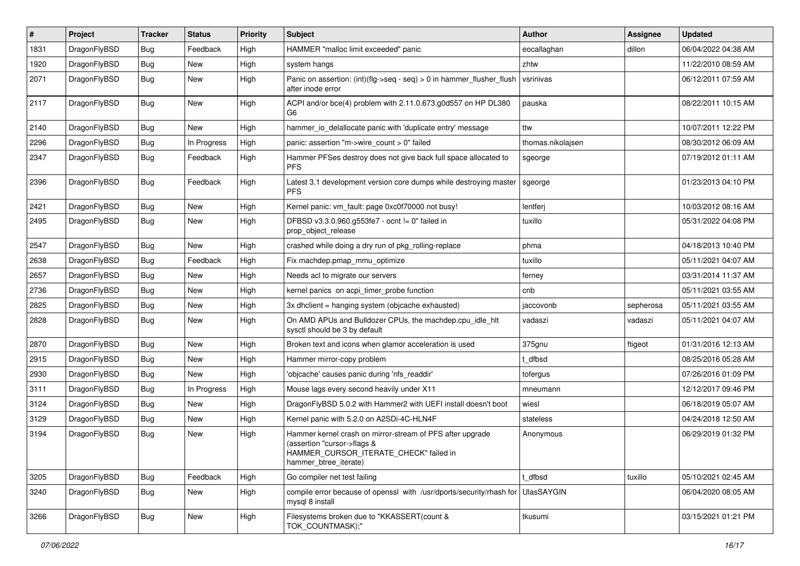| $\pmb{\#}$ | Project      | <b>Tracker</b> | <b>Status</b> | <b>Priority</b> | Subject                                                                                                                                                     | <b>Author</b>     | Assignee  | <b>Updated</b>      |
|------------|--------------|----------------|---------------|-----------------|-------------------------------------------------------------------------------------------------------------------------------------------------------------|-------------------|-----------|---------------------|
| 1831       | DragonFlyBSD | Bug            | Feedback      | High            | HAMMER "malloc limit exceeded" panic                                                                                                                        | eocallaghan       | dillon    | 06/04/2022 04:38 AM |
| 1920       | DragonFlyBSD | Bug            | <b>New</b>    | High            | system hangs                                                                                                                                                | zhtw              |           | 11/22/2010 08:59 AM |
| 2071       | DragonFlyBSD | Bug            | New           | High            | Panic on assertion: $(int)(flag->seq - seq) > 0$ in hammer flusher flush<br>after inode error                                                               | vsrinivas         |           | 06/12/2011 07:59 AM |
| 2117       | DragonFlyBSD | Bug            | New           | High            | ACPI and/or bce(4) problem with 2.11.0.673.g0d557 on HP DL380<br>G6                                                                                         | pauska            |           | 08/22/2011 10:15 AM |
| 2140       | DragonFlyBSD | <b>Bug</b>     | <b>New</b>    | High            | hammer_io_delallocate panic with 'duplicate entry' message                                                                                                  | ttw               |           | 10/07/2011 12:22 PM |
| 2296       | DragonFlyBSD | Bug            | In Progress   | High            | panic: assertion "m->wire count > 0" failed                                                                                                                 | thomas.nikolajsen |           | 08/30/2012 06:09 AM |
| 2347       | DragonFlyBSD | Bug            | Feedback      | High            | Hammer PFSes destroy does not give back full space allocated to<br><b>PFS</b>                                                                               | sgeorge           |           | 07/19/2012 01:11 AM |
| 2396       | DragonFlyBSD | Bug            | Feedback      | High            | Latest 3.1 development version core dumps while destroying master<br><b>PFS</b>                                                                             | sgeorge           |           | 01/23/2013 04:10 PM |
| 2421       | DragonFlyBSD | Bug            | <b>New</b>    | High            | Kernel panic: vm_fault: page 0xc0f70000 not busy!                                                                                                           | lentferj          |           | 10/03/2012 08:16 AM |
| 2495       | DragonFlyBSD | <b>Bug</b>     | New           | High            | DFBSD v3.3.0.960.g553fe7 - ocnt != 0" failed in<br>prop object release                                                                                      | tuxillo           |           | 05/31/2022 04:08 PM |
| 2547       | DragonFlyBSD | <b>Bug</b>     | New           | High            | crashed while doing a dry run of pkg rolling-replace                                                                                                        | phma              |           | 04/18/2013 10:40 PM |
| 2638       | DragonFlyBSD | Bug            | Feedback      | High            | Fix machdep.pmap_mmu_optimize                                                                                                                               | tuxillo           |           | 05/11/2021 04:07 AM |
| 2657       | DragonFlyBSD | <b>Bug</b>     | New           | High            | Needs acl to migrate our servers                                                                                                                            | ferney            |           | 03/31/2014 11:37 AM |
| 2736       | DragonFlyBSD | Bug            | <b>New</b>    | High            | kernel panics on acpi timer probe function                                                                                                                  | cnb               |           | 05/11/2021 03:55 AM |
| 2825       | DragonFlyBSD | Bug            | New           | High            | 3x dhclient = hanging system (objcache exhausted)                                                                                                           | jaccovonb         | sepherosa | 05/11/2021 03:55 AM |
| 2828       | DragonFlyBSD | Bug            | New           | High            | On AMD APUs and Bulldozer CPUs, the machdep.cpu_idle_hlt<br>sysctl should be 3 by default                                                                   | vadaszi           | vadaszi   | 05/11/2021 04:07 AM |
| 2870       | DragonFlyBSD | Bug            | <b>New</b>    | High            | Broken text and icons when glamor acceleration is used                                                                                                      | 375gnu            | ftigeot   | 01/31/2016 12:13 AM |
| 2915       | DragonFlyBSD | Bug            | New           | High            | Hammer mirror-copy problem                                                                                                                                  | dfbsd             |           | 08/25/2016 05:28 AM |
| 2930       | DragonFlyBSD | Bug            | New           | High            | 'objcache' causes panic during 'nfs_readdir'                                                                                                                | tofergus          |           | 07/26/2016 01:09 PM |
| 3111       | DragonFlyBSD | Bug            | In Progress   | High            | Mouse lags every second heavily under X11                                                                                                                   | mneumann          |           | 12/12/2017 09:46 PM |
| 3124       | DragonFlyBSD | Bug            | New           | High            | DragonFlyBSD 5.0.2 with Hammer2 with UEFI install doesn't boot                                                                                              | wiesl             |           | 06/18/2019 05:07 AM |
| 3129       | DragonFlyBSD | Bug            | <b>New</b>    | High            | Kernel panic with 5.2.0 on A2SDi-4C-HLN4F                                                                                                                   | stateless         |           | 04/24/2018 12:50 AM |
| 3194       | DragonFlyBSD | Bug            | New           | High            | Hammer kernel crash on mirror-stream of PFS after upgrade<br>(assertion "cursor->flags &<br>HAMMER_CURSOR_ITERATE_CHECK" failed in<br>hammer btree iterate) | Anonymous         |           | 06/29/2019 01:32 PM |
| 3205       | DragonFlyBSD | <b>Bug</b>     | Feedback      | High            | Go compiler net test failing                                                                                                                                | t_dfbsd           | tuxillo   | 05/10/2021 02:45 AM |
| 3240       | DragonFlyBSD | Bug            | New           | High            | compile error because of openssl with /usr/dports/security/rhash for<br>mysql 8 install                                                                     | <b>UlasSAYGIN</b> |           | 06/04/2020 08:05 AM |
| 3266       | DragonFlyBSD | Bug            | New           | High            | Filesystems broken due to "KKASSERT(count &<br>TOK_COUNTMASK);"                                                                                             | tkusumi           |           | 03/15/2021 01:21 PM |